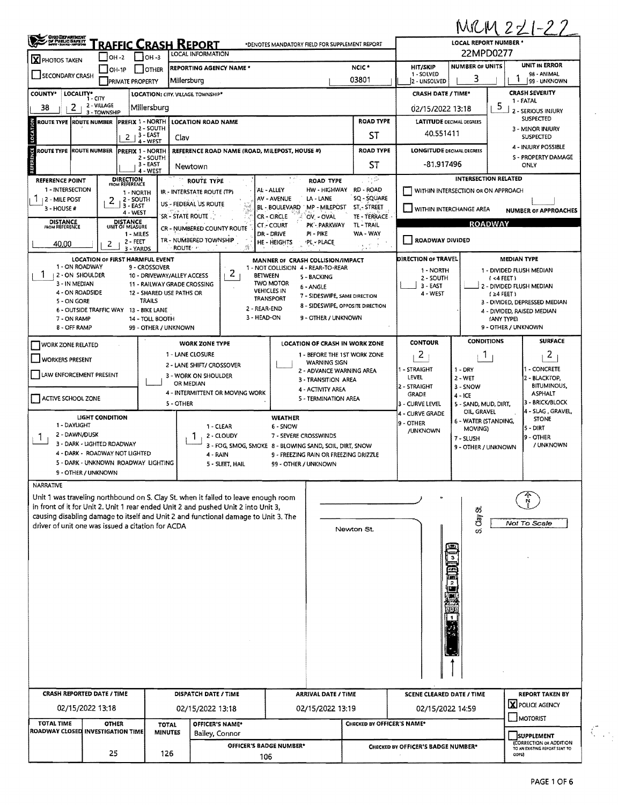|                                                           |                                                            |                                                         |                                                |                                                                                                                                                                          |                                                                                        |                            |                                                            |                                                                   | MRM 221-22                                        |  |  |
|-----------------------------------------------------------|------------------------------------------------------------|---------------------------------------------------------|------------------------------------------------|--------------------------------------------------------------------------------------------------------------------------------------------------------------------------|----------------------------------------------------------------------------------------|----------------------------|------------------------------------------------------------|-------------------------------------------------------------------|---------------------------------------------------|--|--|
| CHOO DEPANTAENT<br>DE PUBLIC SAFETY<br>MERT HARRI-HIRODIN |                                                            | <u>'raffic Crash Report</u>                             | *DENOTES MANDATORY FIELD FOR SUPPLEMENT REPORT | LOCAL REPORT NUMBER *<br>22MPD0277                                                                                                                                       |                                                                                        |                            |                                                            |                                                                   |                                                   |  |  |
| <b>X</b> PHOTOS TAKEN                                     | $OH -2$<br><b>ОН-1Р</b>                                    | $\bigcup$ OH -3<br>  OTHER                              |                                                | LOCAL INFORMATION<br><b>REPORTING AGENCY NAME *</b>                                                                                                                      |                                                                                        | NCIC <sup>*</sup>          | <b>HIT/SKIP</b>                                            | <b>NUMBER OF UNITS</b>                                            | <b>UNIT IN ERROR</b>                              |  |  |
| SECONDARY CRASH                                           |                                                            | <b>PRIVATE PROPERTY</b>                                 | Millersburg                                    |                                                                                                                                                                          |                                                                                        | 03801                      | 1 - SOLVED<br>2 - UNSOLVED                                 | 3                                                                 | 98 - ANIMAL<br>99 - UNKNOWN                       |  |  |
| <b>COUNTY*</b>                                            | LOCALITY* CITY                                             |                                                         |                                                | LOCATION: CITY, VILLAGE, TOWNSHIP*                                                                                                                                       |                                                                                        |                            | <b>CRASH DATE / TIME*</b>                                  |                                                                   | <b>CRASH SEVERITY</b><br>1 - FATAL                |  |  |
| 2<br>38                                                   | 2 - VILLAGE<br>3 - TOWNSHIP                                | Millersburg                                             |                                                |                                                                                                                                                                          |                                                                                        |                            | 02/15/2022 13:18                                           |                                                                   | 5<br>2 - SERIOUS INJURY                           |  |  |
| LOCATION<br>ROUTE TYPE ROUTE NUMBER                       |                                                            | PREFIX 1 - NORTH<br>2 - SOUTH                           |                                                | <b>LOCATION ROAD NAME</b>                                                                                                                                                |                                                                                        | <b>ROAD TYPE</b>           | <b>LATITUDE DECIMAL DEGREES</b>                            | <b>SUSPECTED</b><br>3 - MINOR INJURY                              |                                                   |  |  |
|                                                           |                                                            | $2 + 3 - EAST$<br>4 - WEST                              | Clav                                           |                                                                                                                                                                          |                                                                                        | ST                         | 40.551411                                                  | <b>SUSPECTED</b>                                                  |                                                   |  |  |
| REFERENCE<br>ROUTE TYPE ROUTE NUMBER                      |                                                            | <b>PREFIX 1 - NORTH</b><br>2 - SOUTH                    |                                                | REFERENCE ROAD NAME (ROAD, MILEPOST, HOUSE #)                                                                                                                            |                                                                                        | <b>ROAD TYPE</b>           | <b>LONGITUDE DECIMAL DEGREES</b>                           |                                                                   | 4 - INJURY POSSIBLE<br><b>S - PROPERTY DAMAGE</b> |  |  |
|                                                           |                                                            | 3 - EAST<br>4 - WEST                                    |                                                | Newtown                                                                                                                                                                  |                                                                                        | ST                         | -81.917496                                                 |                                                                   | ONLY                                              |  |  |
| <b>REFERENCE POINT</b><br>1 - INTERSECTION                | <b>DIRECTION</b><br>FROM REFERENCE                         |                                                         |                                                | <b>ROUTE TYPE</b>                                                                                                                                                        | <b>ROAD TYPE</b><br>HW - HIGHWAY<br>AL - ALLEY                                         | 11 P<br>RD - ROAD          |                                                            | <b>INTERSECTION RELATED</b><br>WITHIN INTERSECTION OR ON APPROACH |                                                   |  |  |
| 2 - MILE POST                                             | 2                                                          | 1 - NORTH<br>2 - SOUTH<br>3 - EAST                      |                                                | IR - INTERSTATE ROUTE (TP)<br>US - FEDERAL US ROUTE                                                                                                                      | AV - AVENUE<br>LA - LANE                                                               | SQ - SQUARE                |                                                            |                                                                   |                                                   |  |  |
| $3 - HOUSE#$                                              |                                                            | 4 - WEST                                                |                                                | SR - STATE ROUTE                                                                                                                                                         | BL - BOULEVARD<br>MP - MILEPOST<br><b>CR - CIRCLE</b><br>OV. - OVAL                    | ST STREET<br>TE - TERRACE  | WITHIN INTERCHANGE AREA                                    |                                                                   | <b>NUMBER OF APPROACHES</b>                       |  |  |
| <b>DISTANCE</b><br><b>FROM REFERENCE</b>                  | <b>DISTANCE</b><br>UNIT OF MEASURE                         | 1 - MILES                                               |                                                | CR - NUMBERED COUNTY ROUTE                                                                                                                                               | PK - PARKWAY<br>CT. COURT<br>$PI - PIKE$<br>DR - DRIVE                                 | TL - TRAIL<br>WA - WAY     |                                                            | <b>ROADWAY</b>                                                    |                                                   |  |  |
| 40.00                                                     | 2                                                          | 2 - Feet<br>3 - YARDS                                   | ROUTE **                                       | TR - NUMBERED TOWNSHIP                                                                                                                                                   | HE - HEIGHTS<br>PL - PLACE                                                             | 5 e r                      | ROADWAY DIVIDED                                            |                                                                   |                                                   |  |  |
|                                                           | <b>LOCATION OF FIRST HARMFUL EVENT</b>                     |                                                         |                                                |                                                                                                                                                                          | MANNER OF CRASH COLLISION/IMPACT                                                       |                            | <b>DIRECTION OF TRAVEL</b>                                 |                                                                   | <b>MEDIAN TYPE</b>                                |  |  |
| 1 - ON ROADWAY<br>  2 - ON SHOULDER                       |                                                            | 9 - CROSSOVER<br>10 - DRIVEWAY/ALLEY ACCESS             |                                                | Z.<br><b>BETWEEN</b>                                                                                                                                                     | 1 - NOT COLLISION 4 - REAR-TO-REAR<br>5 - BACKING                                      |                            | 1 - NORTH<br>2 - SOUTH                                     |                                                                   | 1 - DIVIDED FLUSH MEDIAN<br>(4 FEE)               |  |  |
| 3 - IN MEDIAN<br>4 - ON ROADSIDE                          |                                                            | 11 - RAILWAY GRADE CROSSING<br>12 - SHARED USE PATHS OR |                                                |                                                                                                                                                                          | <b>TWO MOTOR</b><br>6 - ANGLE<br><b>VEHICLES IN</b>                                    |                            | 3 - EAST<br>4 - WEST                                       |                                                                   | 2 - DIVIDED FLUSH MEDIAN<br>$(24$ FEET)           |  |  |
| 5 - ON GORE                                               | 6 - OUTSIDE TRAFFIC WAY 13 - BIKE LANE                     | <b>TRAILS</b>                                           |                                                | 2 - REAR-END                                                                                                                                                             | 7 - SIDESWIPE, SAME DIRECTION<br><b>TRANSPORT</b><br>8 - SIDESWIPE, OPPOSITE DIRECTION |                            |                                                            |                                                                   | 3 - DIVIDED, DEPRESSED MEDIAN                     |  |  |
| 7 - ON RAMP                                               |                                                            | 14 - TOLL BOOTH                                         |                                                | 3 - HEAD-ON                                                                                                                                                              | 9 - OTHER / UNKNOWN                                                                    |                            |                                                            |                                                                   | 4 - DIVIDED, RAISED MEDIAN<br>(ANY TYPE)          |  |  |
| 8 - OFF RAMP                                              |                                                            | 99 - OTHER / UNKNOWN                                    |                                                |                                                                                                                                                                          |                                                                                        |                            |                                                            | <b>CONDITIONS</b>                                                 | 9 - OTHER / UNKNOWN<br><b>SURFACE</b>             |  |  |
| <b>WORK ZONE RELATED</b>                                  |                                                            |                                                         |                                                | <b>WORK ZONE TYPE</b><br>1 - LANE CLOSURE                                                                                                                                | LOCATION OF CRASH IN WORK ZONE<br>1 - BEFORE THE 1ST WORK ZONE                         |                            | <b>CONTOUR</b><br>2                                        | 1                                                                 | 2                                                 |  |  |
| <b>WORKERS PRESENT</b>                                    |                                                            |                                                         |                                                | 2 - LANE SHIFT/ CROSSOVER                                                                                                                                                | <b>WARNING SIGN</b><br>2 - ADVANCE WARNING AREA                                        |                            | 1 - STRAIGHT                                               | $1 - DRY$                                                         | <b>- CONCRETE</b>                                 |  |  |
| LAW ENFORCEMENT PRESENT                                   |                                                            |                                                         |                                                | 3 - WORK ON SHOULDER<br>OR MEDIAN                                                                                                                                        | 3 - TRANSITION AREA                                                                    |                            | LEVEL<br>2 - STRAIGHT                                      | $2 - WET$                                                         | 2 - BLACKTOP,<br><b>BITUMINOUS</b>                |  |  |
| ACTIVE SCHOOL ZONE                                        |                                                            |                                                         |                                                | 4 - INTERMITTENT OR MOVING WORK                                                                                                                                          | 4 - ACTIVITY AREA<br>5 - TERMINATION AREA                                              |                            | GRADE                                                      | 3 - SNOW<br>$4 - ICE$                                             | <b>ASPHALT</b>                                    |  |  |
|                                                           |                                                            |                                                         | 5 - OTHER                                      |                                                                                                                                                                          |                                                                                        |                            | 3 - CURVE LEVEL<br>4 - CURVE GRADE                         | 5 - SAND, MUD, DIRT,<br>OIL, GRAVEL                               | 3 - BRICK/BLOCK<br>4 - SLAG, GRAVEL,              |  |  |
| 1 - DAYLIGHT                                              | LIGHT CONDITION                                            |                                                         |                                                | 1 - CLEAR                                                                                                                                                                | <b>WEATHER</b><br>6 - SNOW                                                             |                            | 9 - OTHER<br>/UNKNOWN                                      | 6 - WATER (STANDING,<br>MOVING)                                   | <b>STONE</b><br>5 - DIRT                          |  |  |
| 2 - DAWN/DUSK<br>$\mathbf{1}$                             | 3 - DARK - LIGHTED ROADWAY                                 |                                                         |                                                | 2 - CLOUDY                                                                                                                                                               | 7 - SEVERE CROSSWINDS<br>3 - FOG, SMOG, SMOKE 8 - BLOWING SAND, SOIL, DIRT, SNOW       |                            | 9 - OTHER<br>7 - SLUSH<br>/ UNKNOWN<br>9 - OTHER / UNKNOWN |                                                                   |                                                   |  |  |
|                                                           | 4 - DARK - ROADWAY NOT LIGHTED                             |                                                         |                                                | 4 - RAIN                                                                                                                                                                 | 9 - FREEZING RAIN OR FREEZING DRIZZLE                                                  |                            |                                                            |                                                                   |                                                   |  |  |
|                                                           | 5 - DARK - UNKNOWN ROADWAY LIGHTING<br>9 - OTHER / UNKNOWN |                                                         |                                                | 5 - SLEET, HAIL                                                                                                                                                          | 99 - OTHER / UNKNOWN                                                                   |                            |                                                            |                                                                   |                                                   |  |  |
| <b>NARRATIVE</b>                                          |                                                            |                                                         |                                                |                                                                                                                                                                          |                                                                                        |                            |                                                            |                                                                   |                                                   |  |  |
|                                                           |                                                            |                                                         |                                                | Unit 1 was traveling northbound on S. Clay St. when it failed to leave enough room                                                                                       |                                                                                        |                            |                                                            |                                                                   |                                                   |  |  |
|                                                           |                                                            |                                                         |                                                | in front of it for Unit 2. Unit 1 rear ended Unit 2 and pushed Unit 2 into Unit 3,<br>causing disabling damage to itself and Unit 2 and functional damage to Unit 3. The |                                                                                        |                            |                                                            | S. Clay St.                                                       |                                                   |  |  |
| driver of unit one was issued a citation for ACDA         |                                                            |                                                         |                                                |                                                                                                                                                                          |                                                                                        | Newton St.                 |                                                            |                                                                   | Not To Scale                                      |  |  |
|                                                           |                                                            |                                                         |                                                |                                                                                                                                                                          |                                                                                        |                            |                                                            |                                                                   |                                                   |  |  |
|                                                           |                                                            |                                                         |                                                |                                                                                                                                                                          |                                                                                        |                            |                                                            |                                                                   |                                                   |  |  |
|                                                           |                                                            |                                                         |                                                |                                                                                                                                                                          |                                                                                        |                            |                                                            |                                                                   |                                                   |  |  |
|                                                           |                                                            |                                                         |                                                |                                                                                                                                                                          |                                                                                        |                            | 2                                                          |                                                                   |                                                   |  |  |
|                                                           |                                                            |                                                         |                                                |                                                                                                                                                                          |                                                                                        |                            |                                                            |                                                                   |                                                   |  |  |
|                                                           |                                                            |                                                         |                                                |                                                                                                                                                                          |                                                                                        |                            |                                                            |                                                                   |                                                   |  |  |
|                                                           |                                                            |                                                         |                                                |                                                                                                                                                                          |                                                                                        |                            |                                                            |                                                                   |                                                   |  |  |
|                                                           |                                                            |                                                         |                                                |                                                                                                                                                                          |                                                                                        |                            |                                                            |                                                                   |                                                   |  |  |
|                                                           |                                                            |                                                         |                                                |                                                                                                                                                                          |                                                                                        |                            |                                                            |                                                                   |                                                   |  |  |
|                                                           |                                                            |                                                         |                                                |                                                                                                                                                                          |                                                                                        |                            |                                                            |                                                                   |                                                   |  |  |
|                                                           | <b>CRASH REPORTED DATE / TIME</b>                          |                                                         |                                                | DISPATCH DATE / TIME                                                                                                                                                     | <b>ARRIVAL DATE / TIME</b>                                                             |                            | <b>SCENE CLEARED DATE / TIME</b>                           |                                                                   | <b>REPORT TAKEN BY</b>                            |  |  |
|                                                           | 02/15/2022 13:18                                           |                                                         |                                                | 02/15/2022 13:18                                                                                                                                                         | 02/15/2022 13:19                                                                       |                            | 02/15/2022 14:59                                           |                                                                   | X POLICE AGENCY                                   |  |  |
| <b>TOTAL TIME</b>                                         | <b>OTHER</b>                                               |                                                         | <b>TOTAL</b>                                   | OFFICER'S NAME*                                                                                                                                                          |                                                                                        | CHECKED BY OFFICER'S NAME* |                                                            |                                                                   | MOTORIST                                          |  |  |
| ROADWAY CLOSED INVESTIGATION TIME                         |                                                            |                                                         | <b>MINUTES</b>                                 | Bailey, Connor                                                                                                                                                           |                                                                                        |                            | <b>SUPPLEMENT</b><br>(CORRECTION OR ADDITION               |                                                                   |                                                   |  |  |
|                                                           | 25                                                         |                                                         | 126                                            | OFFICER'S BADGE NUMBER*<br>106                                                                                                                                           |                                                                                        |                            | CHECKED BY OFFICER'S BADGE NUMBER*                         |                                                                   | TO AN EXISTING REPORT SENT TO<br>ODPS)            |  |  |
|                                                           |                                                            |                                                         |                                                |                                                                                                                                                                          |                                                                                        |                            |                                                            |                                                                   |                                                   |  |  |

 $\mathcal{L}_{\mathcal{P}}$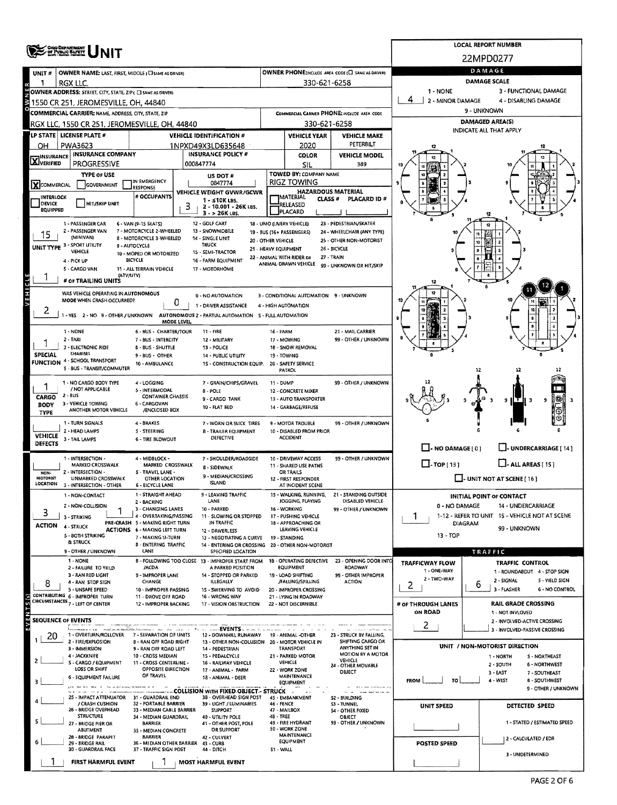|                             | ONO DEPARTMENT<br>OF PUBLIC BAPETY                                                       |                                                               | <b>LOCAL REPORT NUMBER</b> |                                                                               |                                    |                                                               |                                                      |                                                                |                      |                                                                |  |  |  |
|-----------------------------|------------------------------------------------------------------------------------------|---------------------------------------------------------------|----------------------------|-------------------------------------------------------------------------------|------------------------------------|---------------------------------------------------------------|------------------------------------------------------|----------------------------------------------------------------|----------------------|----------------------------------------------------------------|--|--|--|
|                             |                                                                                          |                                                               | 22MPD0277                  |                                                                               |                                    |                                                               |                                                      |                                                                |                      |                                                                |  |  |  |
| UNIT#                       | OWNER NAME: LAST, FIRST, MIDDLE (CI SAME AS DRIVER)                                      |                                                               |                            | OWNER PHONE; INCLUDE AREA CODE (E) SAME AS DRIVERY                            |                                    | DAMAGE                                                        |                                                      |                                                                |                      |                                                                |  |  |  |
|                             | RGX LLC.<br>OWNER ADDRESS: STREET, CITY, STATE, ZIP( C) SAME AS ORIVERY                  |                                                               |                            |                                                                               |                                    | 330-621-6258                                                  |                                                      | 1 - NONE                                                       | <b>DAMAGE SCALE</b>  | 3 - FUNCTIONAL DAMAGE                                          |  |  |  |
|                             | 1550 CR 251, JEROMESVILLE, OH, 44840                                                     |                                                               |                            | 2 - MINOR DAMAGE<br>4 - DISABLING DAMAGE                                      |                                    |                                                               |                                                      |                                                                |                      |                                                                |  |  |  |
|                             | COMMERCIAL CARRIER: NAME, ADDRESS, CITY, STATE, ZIP                                      |                                                               |                            |                                                                               |                                    |                                                               | COMMERCIAL CARRIER PHONE: INCLUDE AREA CODE          | 9 - UNKNOWN                                                    |                      |                                                                |  |  |  |
|                             | RGX LLC, 1550 CR 251, JEROMESVILLE, OH, 44840                                            |                                                               |                            |                                                                               |                                    | 330-621-6258                                                  |                                                      | DAMAGED AREA(S)<br>INDICATE ALL THAT APPLY                     |                      |                                                                |  |  |  |
|                             | LP STATE   LICENSE PLATE #                                                               |                                                               |                            | <b>VEHICLE IDENTIFICATION #</b>                                               |                                    | <b>VEHICLE YEAR</b>                                           | <b>VEHICLE MAKE</b>                                  |                                                                |                      |                                                                |  |  |  |
| OН                          | PWA3623<br><b>INSURANCE COMPANY</b>                                                      |                                                               |                            | 1NPXD49X3LD635648<br><b>INSURANCE POLICY #</b>                                |                                    | 2020<br>COLOR                                                 | PETERBILT<br><b>VEHICLE MODEL</b>                    |                                                                |                      |                                                                |  |  |  |
| <b>X</b> WSURANCE           | <b>PROGRESSIVE</b>                                                                       |                                                               |                            | 000847774                                                                     |                                    | SIL                                                           | 389                                                  |                                                                |                      |                                                                |  |  |  |
|                             | <b>TYPE OF USE</b>                                                                       | IN EMERGENCY                                                  |                            | US DOT #                                                                      |                                    | TOWED BY: COMPANY NAME                                        |                                                      |                                                                |                      |                                                                |  |  |  |
| XCOMMERCIAL                 | GOVERNMENT                                                                               | RESPONSE                                                      |                            | 0847774<br>VEHICLE WEIGHT GVWR/GCWR                                           |                                    | <b>RIGZ TOWING</b><br><b>HAZARDOUS MATERIAL</b>               |                                                      |                                                                |                      |                                                                |  |  |  |
| <b>INTERLOCK</b><br>DEVICE  | <b>HIT/SKIP UNIT</b>                                                                     | # OCCUPANTS                                                   | з                          | $1 - 510K$ LBS.<br>2 - 10,001 - 26K LBS.                                      |                                    | MATERIAL<br><b>CLASS #</b><br>RELEASED                        | PLACARD ID #                                         |                                                                |                      |                                                                |  |  |  |
| <b>EQUIPPED</b>             |                                                                                          |                                                               |                            | $3 - 26K$ LBS.                                                                |                                    | PLACARD                                                       |                                                      |                                                                |                      |                                                                |  |  |  |
|                             | 1 - PASSENGER CAR<br>2 - PASSENGER VAN                                                   | 6 - VAN (9-15 SEATS)<br>7 - MOTORCYCLE 2-WHEELED              |                            | 12 - GOLF CART<br>13 - SNOWMOBILE                                             |                                    | 18 - LIMO (LIVERY VEHICLE)<br>19 - BUS (16+ PASSENGERS)       | 23 - PEDESTRIAN/SKATER<br>24 - WHEELCHAIR (ANY TYPE) |                                                                |                      |                                                                |  |  |  |
| 15                          | (MINIVAN)<br>- SPORT UTIUTY                                                              | 8 - MOTORCYCLE 3-WHEELED                                      |                            | 14 - SINGLE UNIT<br><b>TRUCK</b>                                              | 20 - OTHER VEHICLE                 |                                                               | 25 - OTHER NON-MOTORIST                              |                                                                |                      |                                                                |  |  |  |
| UNIT TYPE <sup>3</sup>      | VEHICLE                                                                                  | 9 - AUTOCYCLE<br>10 - MOPED OR MOTORIZED                      |                            | 15 - SEMI-TRACTOR                                                             | 21 - HEAVY EQUIPMENT               | 22 - ANIMAL WITH RIDER OR                                     | 26 - BICYCLE<br>27 - TRAIN                           |                                                                |                      |                                                                |  |  |  |
|                             | 4 - PICK UP<br>5 - CARGO VAN                                                             | <b>BICYCLE</b><br>11 - ALL TERRAIN VEHICLE                    |                            | 16 - FARM EQUIPMENT<br>17 - MOTORHOME                                         |                                    | ANIMAL-DRAWN VEHICLE                                          | 99 - UNKNOWN OR HIT/SKIP                             |                                                                |                      |                                                                |  |  |  |
|                             | (ATV/UTV)<br># OF TRAILING UNITS                                                         |                                                               |                            |                                                                               |                                    |                                                               |                                                      |                                                                |                      |                                                                |  |  |  |
|                             | WAS VEHICLE OPERATING IN AUTONOMOUS                                                      |                                                               |                            |                                                                               |                                    |                                                               |                                                      |                                                                |                      |                                                                |  |  |  |
|                             | MODE WHEN CRASH OCCURRED?                                                                |                                                               | 0                          | 0 - NO AUTOMATION<br>1 - DRIVER ASSISTANCE                                    |                                    | 3 - CONDITIONAL AUTOMATION 9 - UNKNOWN<br>4 - HIGH AUTOMATION |                                                      |                                                                |                      |                                                                |  |  |  |
| 2                           | 1 - YES 2 - NO 9 - OTHER / UNKNOWN AUTONOMOUS 2 - PARTIAL AUTOMATION S - FULL AUTOMATION |                                                               |                            |                                                                               |                                    |                                                               |                                                      |                                                                |                      |                                                                |  |  |  |
|                             | 1 - NONE                                                                                 | <b>6 - BUS - CHARTER/TOUR</b>                                 | MODE LEVEL                 | 11 - FIRE                                                                     | 16 - FARM                          |                                                               | 21 - MAIL CARRIER                                    |                                                                |                      |                                                                |  |  |  |
|                             | $2 - TAXI$                                                                               | 7 - BUS - INTERCITY                                           |                            | 12 - MILITARY                                                                 |                                    | 17 - MOWING                                                   | 99 - OTHER / UNKNOWN                                 |                                                                |                      |                                                                |  |  |  |
| <b>SPECIAL</b>              | 3 - ELECTRONIC RIDE<br><b>SHARING</b>                                                    | 8 - BUS - SHUTTLE<br>9 - BUS - OTHER                          |                            | 13 - POLICE<br>14 - PUBLIC UTILITY                                            |                                    | 18 - SNOW REMOVAL<br>19 - TOWING                              |                                                      |                                                                |                      |                                                                |  |  |  |
|                             | FUNCTION 4 - SCHOOL TRANSPORT<br>5 - BUS - TRANSIT/COMMUTER                              | 10 - AMBULANCE                                                |                            | 1S - CONSTRUCTION EQUIP.                                                      |                                    | 20 - SAFETY SERVICE<br>PATROL                                 |                                                      |                                                                | 12                   | 17                                                             |  |  |  |
|                             | 1 - NO CARGO BODY TYPE                                                                   | 4 - LOGGING                                                   |                            | 7 - GRAIN/CHIPS/GRAVEL                                                        | 11 - DUMP                          |                                                               | 99 - OTHER / UNKNOWN                                 |                                                                |                      |                                                                |  |  |  |
| 1                           | / NOT APPLICABLE<br>$2 - BUS$                                                            | 5 - INTERMODAL                                                |                            | 8 - POLE                                                                      |                                    | 12 - CONCRETE MIXER                                           |                                                      |                                                                |                      |                                                                |  |  |  |
| CARGO<br>BODY               | 3 - VEHICLE TOWING                                                                       | <b>CONTAINER CHASSIS</b><br>6 - CARGOVAN                      |                            | 9 - CARGO TANK<br>10 - FLAT BED                                               |                                    | 13 - AUTO TRANSPORTER<br>14 - GARBAGE/REFUSE                  |                                                      |                                                                |                      | -IIT<br>9<br>9<br>з                                            |  |  |  |
| TYPE                        | ANOTHER MOTOR VEHICLE                                                                    | /ENCLOSED BOX                                                 |                            |                                                                               |                                    |                                                               |                                                      |                                                                |                      |                                                                |  |  |  |
|                             | 1 - TURN SIGNALS<br>2 - HEAD LAMPS                                                       | 4 - BRAKES<br>S - STEERING                                    |                            | 7 - WORN OR SLICK TIRES<br><b>8 - TRAILER EQUIPMENT</b>                       |                                    | 9 - MOTOR TROUBLE<br>10 - DISABLED FROM PRIOR                 | 99 - OTHER / UNKNOWN                                 |                                                                |                      |                                                                |  |  |  |
| <b>VEHICLE</b><br>DEFECTS   | 3 - TAIL LAMPS                                                                           | 6 - TIRE BLOWOUT                                              |                            | DEFECTIVE                                                                     |                                    | <b>ACCIDENT</b>                                               |                                                      |                                                                |                      |                                                                |  |  |  |
|                             | 1 - INTERSECTION -                                                                       | 4 - MIDBLOCK -                                                |                            | 7 - SHOULDER/ROADSIDE                                                         |                                    | 10 - DRIVEWAY ACCESS                                          | 99 - OTHER / UNKNOWN                                 | $\Box$ - NO DAMAGE [ 0 ]                                       |                      | - UNDERCARRIAGE [ 14 ]                                         |  |  |  |
| NON-                        | MARKED CROSSWALK<br>2 - INTERSECTION -                                                   | MARKED CROSSWALK<br>S - TRAVEL LANE -                         |                            | 8 - SIDEWALK                                                                  | 11 - SHARED USE PATHS<br>OR TRAILS |                                                               |                                                      | $\Box$ -TOP(13)                                                |                      | $\Box$ - ALL AREAS [ 15 ]                                      |  |  |  |
| MOTORIST<br><b>LOCATION</b> | UNMARKED CROSSWALK<br>3 - INTERSECTION - OTHER                                           | OTHER LOCATION<br><b>6 BICYCLE LANE</b>                       |                            | 9 - MEDIAN/CROSSING<br><b>ISLAND</b>                                          |                                    | 12 - FIRST RESPONDER<br>AT INCIDENT SCENE                     |                                                      | $\Box$ - UNIT NOT AT SCENE [16]                                |                      |                                                                |  |  |  |
|                             | 1 - NON-CONTACT                                                                          | 1 - STRAIGHT AHEAD                                            |                            | 9 - LEAVING TRAFFIC                                                           |                                    | 15 - WALKING, RUNNING,                                        | 21 - STANDING OUTSIDE                                |                                                                |                      | <b>INITIAL POINT OF CONTACT</b>                                |  |  |  |
|                             | 2 - NON-COLLISION                                                                        | 2 - BACKING<br>3 - CHANGING LANES                             |                            | LANE<br>10 - PARKED                                                           |                                    | JOGGING, PLAYING<br>16 - WORKING                              | DISABLED VEHICLE<br>99 - OTHER / UNKNOWN             | 0 - NO DAMAGE                                                  |                      | 14 - UNDERCARRIAGE                                             |  |  |  |
| 3                           | 3 - STRIKING                                                                             | 4 - OVERTAKING/PASSING<br>PRE-CRASH 5 - MAKING RIGHT TURN     |                            | 11 - SLOWING OR STOPPED<br>IN TRAFFIC                                         |                                    | 17 - PUSHING VEHICLE<br>18 - APPROACHING OR                   |                                                      | 1-12 - REFER TO UNIT 15 - VEHICLE NOT AT SCENE<br>Ŧ<br>DIAGRAM |                      |                                                                |  |  |  |
| <b>ACTION</b>               | 4 - STRUCK<br>5 - BOTH STRIKING                                                          | <b>ACTIONS 6 - MAKING LEFT TURN</b>                           |                            | 12 - DRIVERLESS                                                               |                                    | LEAVING VEHICLE                                               |                                                      | 99 - UNKNOWN<br>13 - TOP                                       |                      |                                                                |  |  |  |
|                             | & STRUCK                                                                                 | 7 - MAKING U-TURN<br>8 - ENTERING TRAFFIC                     |                            | 13 - NEGOTIATING A CURVE<br>14 - ENTERING OR CROSSING 20 - OTHER NON-MOTORIST |                                    | 19 - STANDING                                                 |                                                      |                                                                |                      |                                                                |  |  |  |
|                             | 9 - OTHER / UNKNOWN<br>1 - NONE                                                          | LANE                                                          |                            | SPECIFIED LOCATION<br>8 - FOLLOWING TOO CLOSE 13 - IMPROPER START FROM        |                                    | 1B - OPERATING DEFECTIVE                                      | 23 - OPENING DOOR INTO                               |                                                                | TRAFFIC              |                                                                |  |  |  |
|                             | 2 - FAILURE TO YIELD                                                                     | /ACDA                                                         |                            | A PARKED POSITION                                                             |                                    | <b>EQUIPMENT</b>                                              | ROADWAY                                              | TRAFFICWAY FLOW<br>1 - ONE WAY                                 |                      | <b>TRAFFIC CONTROL</b><br>1 - ROUNDABOUT 4 - STOP SIGN         |  |  |  |
| 8                           | 3 - RAN RED LIGHT<br>4 - RAN STOP SIGN                                                   | <b>9 - IMPROPER LANE</b><br>CHANGE                            |                            | 14 - STOPPED OR PARKED<br>ILLEGALLY                                           |                                    | 19 - LOAD SHIFTING<br>/FALUNG/SPILLING                        | 99 - OTHER IMPROPER<br><b>ACTION</b>                 | 2 - TWO-WAY<br>2                                               | b                    | 2 - SIGNAL<br>5 - YIELD SIGN                                   |  |  |  |
| Ø                           | 5 - UNSAFE SPEED<br>CONTRIBUTING 6 - IMPROPER TURN                                       | 10 - IMPROPER PASSING<br>11 - DROVE OFF ROAD                  |                            | 1S - SWERVING TO AVOID<br>16 - WRONG WAY                                      |                                    | 20 - IMPROPER CROSSING<br>21 - LYING IN ROADWAY               |                                                      |                                                                |                      | 3 - FLASHER<br><b>6 - NO CONTROL</b>                           |  |  |  |
|                             | CIRCUMSTANCES <sub>7</sub> - LEFT OF CENTER                                              | 12 - IMPROPER BACKING                                         |                            | 17 - VISION OBSTRUCTION                                                       |                                    | 22 - NOT DISCERNIBLE                                          |                                                      | # OF THROUGH LANES                                             |                      | <b>RAIL GRADE CROSSING</b>                                     |  |  |  |
|                             | <b>SEQUENCE OF EVENTS</b>                                                                |                                                               |                            |                                                                               |                                    |                                                               |                                                      | ON ROAD                                                        |                      | 1 - NOT INVLOVED<br>2 - INVOLVED-ACTIVE CROSSING               |  |  |  |
| Z <sub>0</sub>              | 1 - OVERTURN/ROLLOVER                                                                    | 7 - SEPARATION OF UNITS                                       |                            | - -- -----EVENTS -->----->-<br>12 - DOWNHILL RUNAWAY                          |                                    | 19 - ANIMAL -OTHER                                            | 23 - STRUCK BY FALLING,                              | 2                                                              |                      | 3 - INVOLVED-PASSIVE CROSSING                                  |  |  |  |
|                             | 2 - FIRE/EXPLOSION<br>3 - IMMERSION                                                      | <b>B - RAN OFF ROAD RIGHT</b><br>9 RAN OFF ROAD LEFT          |                            | 13 - OTHER NON-COLLISION 20 - MOTOR VEHICLE IN<br>14 - PEDESTRIAN             |                                    | <b>TRANSPORT</b>                                              | SHIFTING CARGO OR<br>ANYTHING SET IN                 |                                                                |                      | UNIT / NON-MOTORIST DIRECTION                                  |  |  |  |
| 2                           | 4 - JACKKNIFE                                                                            | 10 - CROSS MEDIAN                                             |                            | 15 - PEDALCYCLE                                                               |                                    | 21 - PARKED MOTOR                                             | MOTION BY A MOTOR<br>VEHICLE                         |                                                                |                      | 1 - NORTH<br>S - NORTHEAST                                     |  |  |  |
|                             | S - CARGO / EQUIPMENT<br>LOSS OR SHIFT                                                   | 11 - CROSS CENTERLINE -<br>OPPOSITE DIRECTION                 |                            | 16 - RAILWAY VEHICLE<br>17 - ANIMAL - FARM                                    |                                    | VEHICLE<br>22 - WORK ZONE                                     | 24 - OTHER MOVABLE<br>OBJECT                         |                                                                |                      | 2 - SOUTH<br><b>6 - NORTHWEST</b><br>3 - EAST<br>7 - SOUTHEAST |  |  |  |
|                             | 6 - EQUIPMENT FAILURE                                                                    | OF TRAVEL                                                     |                            | 18 - ANIMAL - DEER                                                            |                                    | MAINTENANCE<br>EQUIPMENT                                      |                                                      | <b>FROM</b><br>70                                              |                      | 4 - WEST<br>8 - SOUTHWEST                                      |  |  |  |
|                             | 25 - IMPACT ATTENUATOR                                                                   | 31 - GUARDRAIL END                                            |                            | COLLISION WITH FIXED OBJECT - STRUCK<br>38 - OVERHEAD SIGN POST               |                                    | 45 - EM8ANKMENT                                               | S2 - BUILDING                                        |                                                                |                      | 9 - OTHER / UNKNOWN                                            |  |  |  |
|                             | / CRASH CUSHION<br>26 - BRIDGE OVERHEAD                                                  | 32 - PORTABLE BARRIER<br>33 - MEDIAN CABLE BARRIER            |                            | 39 - LIGHT / LUMINARIES<br><b>SUPPORT</b>                                     | 46 - FENCE                         | 47 - MAILBOX                                                  | 53 - TUNNEL<br>54 - OTHER FIXED                      | UNIT SPEED                                                     |                      | DETECTED SPEED                                                 |  |  |  |
|                             | <b>STRUCTURE</b><br>27 - BRIDGE PIER OR                                                  | 34 - MEDIAN GUARDRAIL<br><b>BARRIER</b>                       |                            | 40 - UTILITY POLE<br>41 - OTHER POST, POLE                                    | 48 - TREE                          | 49 - FIRE HYDRANT                                             | OBJECT<br>99 - OTHER / UNKNOWN                       |                                                                |                      | 1 - STATED / ESTIMATED SPEED                                   |  |  |  |
|                             | ABUTMENT<br>28 - BRIDGE PARAPET                                                          | 35 - MEDIAN CONCRETE<br><b>BARRIER</b>                        |                            | OR SUPPORT<br>42 - CULVERT                                                    |                                    | 50 - WORK ZONE<br><b>MAINTENANCE</b>                          |                                                      |                                                                |                      |                                                                |  |  |  |
|                             | 29 - BRIDGE RAIL<br>30 - GUARDRAIL FACE                                                  | 36 - MEDIAN OTHER BARRIER 43 - CURB<br>37 - TRAFFIC SIGN POST |                            | 44 DITCH                                                                      | 51 - WALL                          | <b>EQUIPMENT</b>                                              |                                                      | <b>POSTED SPEED</b>                                            | 2 - CALCULATED / EDR |                                                                |  |  |  |
|                             | FIRST HARMFUL EVENT                                                                      |                                                               |                            | <b>MOST HARMFUL EVENT</b>                                                     |                                    |                                                               |                                                      |                                                                |                      | 3 - UNDETERMINED                                               |  |  |  |
|                             |                                                                                          |                                                               |                            |                                                                               |                                    |                                                               |                                                      |                                                                |                      |                                                                |  |  |  |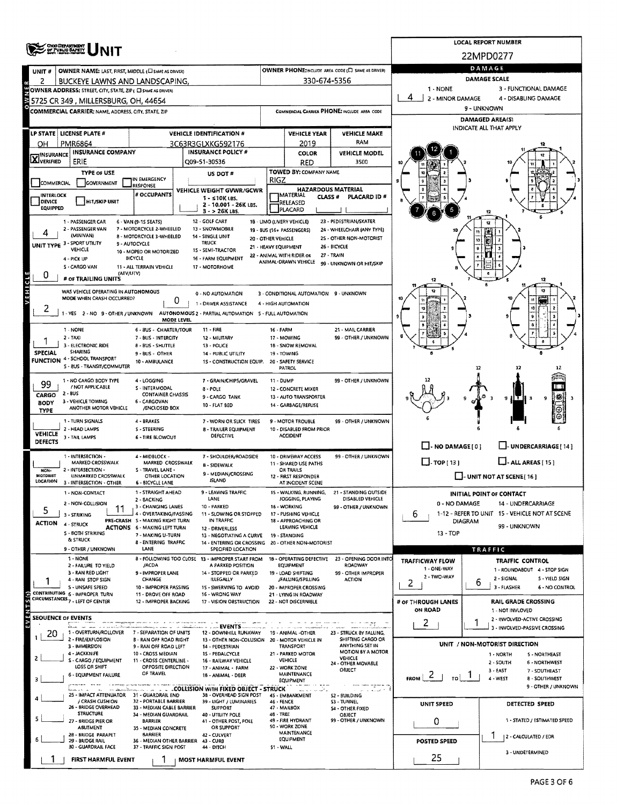|                                                                               |                                                                |                                                                        | <b>LOCAL REPORT NUMBER</b>                                              |                                                          |                                                              |                                                    |                                               |   |                                                               |  |  |  |
|-------------------------------------------------------------------------------|----------------------------------------------------------------|------------------------------------------------------------------------|-------------------------------------------------------------------------|----------------------------------------------------------|--------------------------------------------------------------|----------------------------------------------------|-----------------------------------------------|---|---------------------------------------------------------------|--|--|--|
| <b>ONIO DEPARTMENT</b><br>OF PUBLIC BAFETY                                    |                                                                |                                                                        |                                                                         |                                                          |                                                              |                                                    | 22MPD0277                                     |   |                                                               |  |  |  |
|                                                                               | <b>OWNER NAME: LAST, FIRST, MIDDLE (C) SAME AS DRIVERY</b>     |                                                                        |                                                                         |                                                          |                                                              | OWNER PHONE: INCLUDE AREA CODE (E) SAME AS DRIVERY | DAMAGE                                        |   |                                                               |  |  |  |
| UNIT#<br>2                                                                    | BUCKEYE LAWNS AND LANDSCAPING,                                 |                                                                        |                                                                         |                                                          | 330-674-5356                                                 |                                                    | <b>DAMAGE SCALE</b>                           |   |                                                               |  |  |  |
|                                                                               | OWNER ADDRESS: STREET, CITY, STATE, ZIP ( C SAME AS DRIVER)    |                                                                        |                                                                         |                                                          |                                                              |                                                    | 1 - NONE                                      |   | 3 - FUNCTIONAL DAMAGE                                         |  |  |  |
|                                                                               | 5725 CR 349 , MILLERSBURG, OH, 44654                           |                                                                        |                                                                         |                                                          |                                                              |                                                    | 4<br>2 - MINOR DAMAGE<br>4 - DISABLING DAMAGE |   |                                                               |  |  |  |
|                                                                               | <b>COMMERCIAL CARRIER: NAME, ADDRESS, CITY, STATE, ZIP</b>     |                                                                        |                                                                         |                                                          |                                                              | COMMERCIAL CARRIER PHONE: INCLUDE AREA CODE        | 9 - UNKNOWN                                   |   |                                                               |  |  |  |
|                                                                               |                                                                |                                                                        |                                                                         |                                                          |                                                              |                                                    |                                               |   | <b>DAMAGED AREA(S)</b><br>INDICATE ALL THAT APPLY             |  |  |  |
| LP STATE   LICENSE PLATE #                                                    |                                                                |                                                                        | <b>VEHICLE IDENTIFICATION #</b>                                         |                                                          | <b>VEHICLE YEAR</b>                                          | <b>VEHICLE MAKE</b>                                |                                               |   |                                                               |  |  |  |
| PMR6864<br>OН                                                                 | <b>INSURANCE COMPANY</b>                                       |                                                                        | 3C63R3GLXKG592176<br><b>INSURANCE POLICY #</b>                          |                                                          | 2019<br><b>COLOR</b>                                         | RAM<br><b>VEHICLE MODEL</b>                        |                                               |   |                                                               |  |  |  |
| <b>X</b> INSURANCE                                                            | ERIE                                                           |                                                                        | Q09-51-30536                                                            |                                                          | RED                                                          | 3500                                               |                                               |   |                                                               |  |  |  |
|                                                                               | TYPE OF USE                                                    |                                                                        | US DOT#                                                                 |                                                          | <b>TOWED BY: COMPANY NAME</b>                                |                                                    |                                               |   |                                                               |  |  |  |
| COMMERCIAL                                                                    | GOVERNMENT                                                     | IN EMERGENCY<br>RESPONSE                                               |                                                                         | RIGZ                                                     |                                                              |                                                    |                                               |   |                                                               |  |  |  |
| <b>INTERLOCK</b>                                                              |                                                                | # OCCUPANTS                                                            | VEHICLE WEIGHT GVWR/GCWR<br>$1 - 510K$ LBS.                             |                                                          | <b>HAZARDOUS MATERIAL</b><br>IMATERIAL<br>CLASS <sup>#</sup> | PLACARD ID #                                       |                                               |   |                                                               |  |  |  |
| DEVICE<br><b>EQUIPPED</b>                                                     | <b>HIT/SKIP UNIT</b>                                           |                                                                        | 2 - 10.001 - 26K LBS.<br>$3 - 26$ K LBS.                                |                                                          | RELEASED<br>PLACARD                                          |                                                    |                                               |   |                                                               |  |  |  |
|                                                                               | 1 - PASSENGER CAR                                              | 6 - VAN (9-1S SEATS)                                                   | 12 - GOLF CART                                                          |                                                          | 18 - LIMO (LIVERY VEHICLE)                                   | 23 - PEDESTRIAN/SKATER                             |                                               |   |                                                               |  |  |  |
|                                                                               | 2 - PASSENGER VAN<br>(MINIVAN)                                 | 7 - MOTORCYCLE 2-WHEELED<br>8 - MOTORCYCLE 3-WHEELED                   | 13 - SNOWMOBILE<br>14 - SINGLE UNIT                                     |                                                          | 19 - BUS (16+ PASSENGERS)                                    | 24 - WHEELCHAIR (ANY TYPE)                         | 10                                            |   |                                                               |  |  |  |
| UNIT TYPE 3 - SPORT UTILITY                                                   |                                                                | 9 - AUTOCYCLE                                                          | <b>TRUCK</b>                                                            | 20 - OTHER VEHICLE<br>21 - HEAVY EQUIPMENT               |                                                              | 25 - OTHER NON-MOTORIST<br>26 - BICYCLE            |                                               |   |                                                               |  |  |  |
| 4 - PICK UP                                                                   | VEHICLE                                                        | 10 - MOPED OR MOTORIZED<br><b>BICYCLE</b>                              | 15 - SEMI-TRACTOR<br>16 - FARM EQUIPMENT                                |                                                          | 22 - ANIMAL WITH RIDER OR                                    | 27 - TRAIN                                         |                                               |   |                                                               |  |  |  |
|                                                                               | S - CARGO VAN                                                  | 11 - ALL TERRAIN VEHICLE                                               | 17 - MOTORHOME                                                          |                                                          | ANIMAL-DRAWN VEHICLE                                         | 99 - UNKNOWN OR HIT/SKIP                           |                                               |   |                                                               |  |  |  |
| 0                                                                             | (ΑΤV/UTV)<br># or TRAILING UNITS                               |                                                                        |                                                                         |                                                          |                                                              |                                                    | 12                                            |   | 12                                                            |  |  |  |
| VEHICLE                                                                       | WAS VEHICLE OPERATING IN AUTONOMOUS                            |                                                                        | 0 - NO AUTOMATION                                                       |                                                          | 3 - CONDITIONAL AUTOMATION 9 - UNKNOWN                       |                                                    |                                               |   | 12                                                            |  |  |  |
|                                                                               | MODE WHEN CRASH OCCURRED?                                      | 0                                                                      | 1 - DRIVER ASSISTANCE                                                   |                                                          | 4 - HIGH AUTOMATION                                          |                                                    |                                               |   |                                                               |  |  |  |
|                                                                               | 1-YES 2-NO 9-OTHER / UNKNOWN                                   |                                                                        | AUTONOMOUS 2 - PARTIAL AUTOMATION 5 - FULL AUTOMATION                   |                                                          |                                                              |                                                    |                                               |   |                                                               |  |  |  |
| 1 - NONE                                                                      |                                                                | MODE LEVEL                                                             | 11 - FIRE                                                               | 16 - FARM                                                |                                                              | 21 - MAIL CARRIER                                  |                                               |   |                                                               |  |  |  |
| $2 - TAXI$                                                                    |                                                                | 6 - BUS - CHARTER/TOUR<br>7 - BUS - INTERCITY                          | 12 - MILITARY                                                           |                                                          | 17 - MOWING                                                  | 99 - OTHER / UNKNOWN                               |                                               |   |                                                               |  |  |  |
| <b>SPECIAL</b>                                                                | 3 - ELECTRONIC RIDE<br>SHARING                                 | <b>8 - BUS - SHUTTLE</b>                                               | 13 - POLICE                                                             |                                                          | 18 - SNOW REMOVAL                                            |                                                    |                                               |   |                                                               |  |  |  |
| <b>FUNCTION 4 - SCHOOL TRANSPORT</b>                                          |                                                                | 9 - BUS - OTHER<br>10 - AMBULANCE                                      | 14 - PUBLIC UTILITY<br>1S - CONSTRUCTION EQUIP. 20 - SAFETY SERVICE     |                                                          | 19 - TOWING                                                  |                                                    |                                               |   |                                                               |  |  |  |
|                                                                               | S - 8US - TRANSIT/COMMUTER                                     |                                                                        |                                                                         |                                                          | PATROL                                                       |                                                    |                                               |   |                                                               |  |  |  |
| 99                                                                            | 1 NO CARGO BODY TYPE<br>/ NOT APPLICABLE                       | 4 - LOGGING                                                            | 7 - GRAIN/CHIPS/GRAVEL                                                  | 11 - DUMP                                                |                                                              | 99 - OTHER / UNKNOWN                               |                                               |   |                                                               |  |  |  |
| $2 - BUS$<br>CARGO                                                            |                                                                | S - INTERMODAL<br><b>CONTAINER CHASSIS</b>                             | 8 - POLE<br>9 - CARGO TANK                                              |                                                          | 12 - CONCRETE MIXER<br>13 - AUTO TRANSPORTER                 |                                                    |                                               |   | Θ<br>I∰<br>9<br>9 H L                                         |  |  |  |
| <b>BODY</b><br><b>TYPE</b>                                                    | 3 - VEHICLE TOWING<br>ANOTHER MOTOR VEHICLE                    | 6 - CARGOVAN<br>/ENCLOSED BOX                                          | 10 - FLAT BED                                                           |                                                          | 14 - GARBAGE/REFUSE                                          |                                                    |                                               |   | ⊝                                                             |  |  |  |
|                                                                               | 1 - TURN SIGNALS                                               | 4 - BRAKES                                                             | 7 - WORN OR SLICK TIRES                                                 |                                                          | <b>9 - MOTOR TROUBLE</b>                                     | 99 - OTHER / UNKNOWN                               |                                               |   |                                                               |  |  |  |
| <b>VEHICLE</b>                                                                | 2 - HEAD LAMPS                                                 | S - STEERING                                                           | <b>8 - TRAILER EQUIPMENT</b><br><b>DEFECTIVE</b>                        |                                                          | 10 - DISABLED FROM PRIOR                                     |                                                    |                                               |   |                                                               |  |  |  |
| <b>DEFECTS</b>                                                                | 3 - TAIL LAMPS                                                 | <b>6 - TIRE BLOWOUT</b>                                                |                                                                         |                                                          | <b>ACCIDENT</b>                                              |                                                    | $\Box$ - NO DAMAGE [ 0 ]                      |   | L-UNDERCARRIAGE! 14                                           |  |  |  |
|                                                                               | 1 - INTERSECTION -                                             | 4 - MIDBLOCK -                                                         | 7 - SHOULDER/ROADSIDE                                                   |                                                          | 10 - DRIVEWAY ACCESS                                         | 99 - OTHER / UNKNOWN                               |                                               |   |                                                               |  |  |  |
| NON-                                                                          | MARKED CROSSWALK<br>2 - INTERSECTION -                         | MARKED CROSSWALK<br>S - TRAVEL LANE -                                  | <b>B - SIDEWALK</b>                                                     | 11 - SHARED USE PATHS<br><b>DR TRAILS</b>                |                                                              |                                                    | $\Box$ -TOP(13)<br>$\Box$ - ALL AREAS [ 15 ]  |   |                                                               |  |  |  |
| MOTORIST<br>LOCATION                                                          | <b>UNMARKED CROSSWALK</b>                                      | OTHER LOCATION                                                         | 9 - MEDIAN/CROSSING<br><b>ISLAND</b>                                    |                                                          | 12 - FIRST RESPONDER                                         |                                                    | U-UNIT NOT AT SCENE [ 16 ]                    |   |                                                               |  |  |  |
|                                                                               | 3 - INTERSECTION - OTHER<br>1 - NON-CONTACT                    | 6 - BICYCLE LANE<br>1 - STRAIGHT AHEAD                                 | 9 - LEAVING TRAFFIC                                                     |                                                          | AT INCIDENT SCENE<br>15 - WALKING, RUNNING,                  | 21 - STANDING OUTSIDE                              | <b>INITIAL POINT OF CONTACT</b>               |   |                                                               |  |  |  |
|                                                                               | 2 - NON-COLLISION                                              | 2 - BACKING<br>3 - CHANGING LANES                                      | LANE                                                                    |                                                          | JOGGING, PLAYING                                             | DISABLED VEHICLE                                   | 0 - NO DAMAGE                                 |   | 14 - UNDERCARRIAGE                                            |  |  |  |
| 5<br>3 - STRIKING                                                             | 11                                                             | 4 - OVERTAKING/PASSING                                                 | 10 - PARKED<br>11 - SLOWING OR STOPPED                                  |                                                          | 16 - WORKING<br>17 - PUSHING VEHICLE                         | 99 - OTHER / UNKNOWN                               | b                                             |   | 1-12 - REFER TO UNIT 15 - VEHICLE NOT AT SCENE                |  |  |  |
| <b>ACTION</b><br>4 - STRUCK                                                   |                                                                | PRE-CRASH S - MAKING RIGHT TURN<br><b>ACTIONS 6 - MAKING LEFT TURN</b> | IN TRAFFIC<br>12 - DRIVERLESS                                           | 18 - APPROACHING OR<br><b>DIAGRAM</b><br>LEAVING VEHICLE |                                                              |                                                    |                                               |   | 99 - UNKNOWN                                                  |  |  |  |
|                                                                               | S - BOTH STRIKING<br>& STRUCK                                  | 7 - MAKING U-TURN                                                      | 13 - NEGOTIATING A CURVE                                                |                                                          | 19 - STANDING                                                |                                                    | 13 - TOP                                      |   |                                                               |  |  |  |
|                                                                               | 9 - OTHER / UNKNOWN                                            | 8 - ENTERING TRAFFIC<br>LANE                                           | 14 - ENTERING OR CROSSING 20 - OTHER NON-MOTORIST<br>SPECIFIED LOCATION |                                                          |                                                              |                                                    |                                               |   | TRAFFIC                                                       |  |  |  |
|                                                                               | 1 NONE                                                         | /ACDA                                                                  | 8 - FOLLOWING TOO CLOSE 13 - IMPROPER START FROM                        |                                                          | 18 - OPERATING DEFECTIVE<br>EQUIPMENT                        | 23 - OPENING DOOR INTO<br>ROADWAY                  | TRAFFICWAY FLOW                               |   | TRAFFIC CONTROL                                               |  |  |  |
|                                                                               | 2 - FAILURE TO YIELD<br>3 - RAN RED LIGHT                      | 9 - IMPROPER LANE                                                      | A PARKED POSITION<br>14 - STOPPED OR PARKED                             |                                                          | 19 - LOAD SHIFTING                                           | 99 - OTHER IMPROPER                                | 1 - ONE-WAY<br>2 - TWO-WAY                    |   | 1 - ROUNDABOUT 4 - STOP SIGN                                  |  |  |  |
|                                                                               | 4 - RAN STOP SIGN<br>5 - UNSAFE SPEED                          | CHANGE<br>10 - IMPROPER PASSING                                        | ILLEGALLY<br>1S - SWERVING TO AVOID                                     |                                                          | /FALLING/SPILLING<br>20 - IMPROPER CROSSING                  | <b>ACTION</b>                                      | 2                                             | 6 | 2 - SIGNAL<br>S - YIELD SIGN<br>3 - FLASHER<br>6 - NO CONTROL |  |  |  |
| CONTRIBUTING 6 - IMPROPER TURN<br>CIRCUMSTANCES <sub>7</sub> - LEFT OF CENTER |                                                                | 11 - DROVE OFF ROAD                                                    | 16 - WRONG WAY                                                          |                                                          | 21 - LYING IN ROADWAY                                        |                                                    |                                               |   |                                                               |  |  |  |
|                                                                               |                                                                | 12 - IMPROPER BACKING                                                  | 17 - VISION OBSTRUCTION                                                 |                                                          | 22 - NOT DISCERNISLE                                         |                                                    | # OF THROUGH LANES<br>ON ROAD                 |   | <b>RAIL GRADE CROSSING</b><br>1 - NOT INVLOVED                |  |  |  |
| الا<br>تا<br>SEOUENCE OF EVENTS<br>ξV                                         |                                                                |                                                                        |                                                                         |                                                          |                                                              |                                                    | 2                                             |   | 2 - INVOLVED-ACTIVE CROSSING                                  |  |  |  |
| 20                                                                            | l<br>Anglis del meno e e especialista<br>1 - OVERTURN/ROLLOVER | 7 - SEPARATION OF UNITS                                                | . EVENTS<br>12 - DOWNHILL RUNAWAY                                       |                                                          | 19 - ANIMAL -OTHER                                           | 23 - STRUCK BY FALLING,                            |                                               |   | 3 - INVOLVED-PASSIVE CROSSING                                 |  |  |  |
|                                                                               | 2 - FIRE/EXPLOSION<br>3 - IMMERSION                            | <b>B - RAN OFF ROAD RIGHT</b><br>9 - RAN OFF ROAD LEFT                 | 13 - OTHER NON-COLLISION 20 - MOTOR VEHICLE IN<br>14 - PEDESTRIAN       |                                                          | TRANSPORT                                                    | SHIFTING CARGO OR<br>ANYTHING SET IN               |                                               |   | UNIT / NON-MOTORIST DIRECTION                                 |  |  |  |
|                                                                               | 4 - JACKKNIFE                                                  | 10 - CROSS MEDIAN                                                      | 15 - PEDALCYCLE                                                         |                                                          | 21 - PARKED MOTOR                                            | <b>MOTION BY A MOTOR</b><br>VEHICLE                |                                               |   | 1 - NORTH<br>5 - NORTHEAST                                    |  |  |  |
|                                                                               | S - CARGO / EQUIPMENT<br>LOSS OR SHIFT                         | 11 - CROSS CENTERLINE -<br>OPPOSITE DIRECTION                          | 16 - RAILWAY VEHICLE<br>17 - ANIMAL - FARM                              |                                                          | VEHICLE<br>22 - WORK ZONE                                    | 24 - OTHER MOVABLE<br>OBJECT                       |                                               |   | 2 - SOUTH<br>6 - NORTHWEST<br>3 - EAST                        |  |  |  |
|                                                                               | <b>6 - EQUIPMENT FAILURE</b>                                   | OF TRAVEL                                                              | 18 - ANIMAL - DEER                                                      |                                                          | MAINTENANCE<br><b>EQUIPMENT</b>                              |                                                    | $F_{ROM}$ 2<br>τo.                            |   | 7 - SOUTHEAST<br>4 - WEST<br>8 - SOUTHWEST                    |  |  |  |
|                                                                               | and you depend on                                              |                                                                        | . COLLISION WITH FIXED OBJECT - STRUCK                                  |                                                          |                                                              | فيحسنها والمنافذ                                   |                                               |   | 9 - OTHER / UNKNOWN                                           |  |  |  |
|                                                                               | 25 - IMPACT ATTENUATOR 31 - GUARDRAIL END<br>/ CRASH CUSHION   | 32 - PORTABLE BARRIER                                                  | 38 - OVERHEAD SIGN POST<br>39 - LIGHT / LUMINARIES                      | 46 - FENCE                                               | 45 - EMBANKMENT                                              | S2 - BUILDING<br>S3 - TUNNEL                       | <b>UNIT SPEED</b>                             |   | DETECTED SPEED                                                |  |  |  |
|                                                                               | 26 - BRIDGE OVERHEAD<br><b>STRUCTURE</b>                       | 33 - MEDIAN CABLE BARRIER<br>34 - MEDIAN GUARDRAIL                     | <b>SUPPORT</b><br>40 - UTILITY POLE                                     | 48 - TREE                                                | 47 - MAILBOX                                                 | <b>S4 - OTHER FIXED</b><br><b>OBJECT</b>           |                                               |   |                                                               |  |  |  |
|                                                                               | 27 - BRIDGE PIER OR<br><b>ABUTMENT</b>                         | <b>BARRIER</b><br>35 - MEDIAN CONCRETE                                 | 41 - OTHER POST, POLE<br>OR SUPPORT                                     |                                                          | 49 - FIRE HYDRANT<br>50 - WORK ZONE                          | 99 - OTHER / UNKNOWN                               | 0                                             |   | 1 - STATED / ESTIMATED SPEED                                  |  |  |  |
|                                                                               | 28 - BRIDGE PARAPET                                            | <b>BARRIER</b>                                                         | 42 - CULVERT                                                            |                                                          | MAINTENANCE<br>EQUIPMENT                                     |                                                    |                                               |   | 2 - CALCULATED / EDR                                          |  |  |  |
|                                                                               | 29 - BRIDGE RAIL<br>30 - GUARDRAIL FACE                        | 36 - MEDIAN OTHER BARRIER 43 - CURB<br>37 - TRAFFIC SIGN POST          | 44 - DITCH                                                              | 51 - WALL                                                |                                                              |                                                    | POSTED SPEED                                  |   |                                                               |  |  |  |
|                                                                               | FIRST HARMFUL EVENT                                            |                                                                        | <b>MOST HARMFUL EVENT</b>                                               |                                                          |                                                              |                                                    | 25                                            |   | 3 - UNDETERMINED                                              |  |  |  |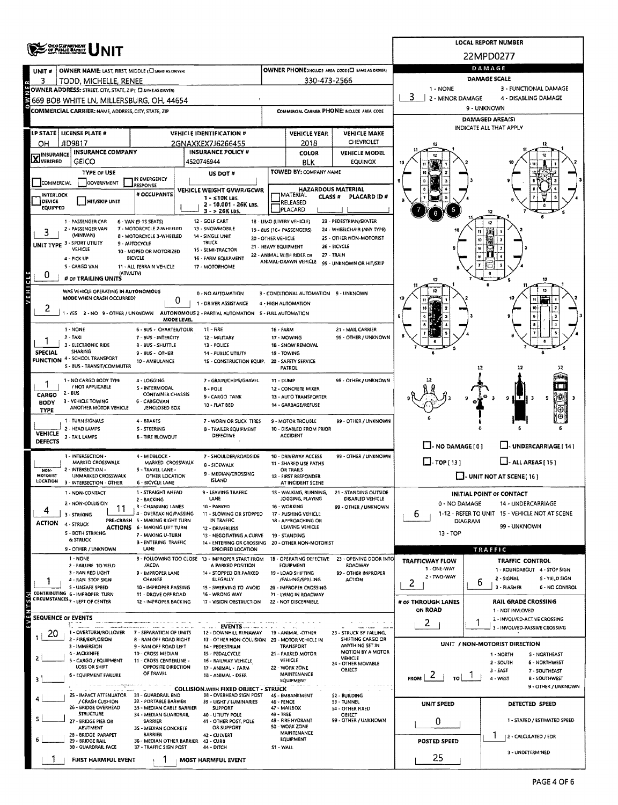|                             | OHO DEPARTMENT<br>OF PUBLIC BAFEIT                                            |                                                               | <b>LOCAL REPORT NUMBER</b>                                                               |                                                                    |                                                        |                                                      |                                            |                                                                        |  |  |  |  |
|-----------------------------|-------------------------------------------------------------------------------|---------------------------------------------------------------|------------------------------------------------------------------------------------------|--------------------------------------------------------------------|--------------------------------------------------------|------------------------------------------------------|--------------------------------------------|------------------------------------------------------------------------|--|--|--|--|
|                             |                                                                               |                                                               |                                                                                          |                                                                    |                                                        |                                                      |                                            | 22MPD0277                                                              |  |  |  |  |
| UNIT #                      | OWNER NAME: LAST, FIRST, MIDDLE (E) SAME AS DRIVERY                           |                                                               | OWNER PHONE:INCLUDE AREA CODE (E) SAME AS ORNER)                                         |                                                                    | DAMAGE                                                 |                                                      |                                            |                                                                        |  |  |  |  |
| з<br>×                      | TODD, MICHELLE, RENEE                                                         |                                                               |                                                                                          |                                                                    | 330-473-2566                                           |                                                      | DAMAGE SCALE                               |                                                                        |  |  |  |  |
| <b>HNW</b>                  | OWNER ADDRESS: STREET, CITY, STATE, ZIP( E SAME AS DRIVER)                    |                                                               |                                                                                          | 1 - NONE<br>2 - MINOR DAMAGE                                       | 3 - FUNCTIONAL DAMAGE<br>4 - DISABLING DAMAGE          |                                                      |                                            |                                                                        |  |  |  |  |
|                             | 669 BOB WHITE LN, MILLERSBURG, OH, 44654                                      |                                                               |                                                                                          |                                                                    |                                                        | COMMERCIAL CARRIER PHONE: INCLUDE AREA CODE          |                                            | 9 - UNKNOWN                                                            |  |  |  |  |
|                             | COMMERCIAL CARRIER: NAME, ADDRESS, CITY, STATE, ZIP                           |                                                               |                                                                                          |                                                                    |                                                        |                                                      |                                            | DAMAGED AREA(S)                                                        |  |  |  |  |
|                             | LP STATE   LICENSE PLATE #                                                    |                                                               | <b>VEHICLE IDENTIFICATION #</b>                                                          | <b>VEHICLE YEAR</b><br><b>VEHICLE MAKE</b>                         |                                                        |                                                      |                                            | INDICATE ALL THAT APPLY                                                |  |  |  |  |
| OH                          | JID9817                                                                       |                                                               | 2GNAXKEX7J6266455                                                                        |                                                                    | 2018                                                   | CHEVROLET                                            |                                            |                                                                        |  |  |  |  |
| <b>X</b> INSURANCE          | <b>INSURANCE COMPANY</b>                                                      |                                                               | <b>INSURANCE POLICY #</b>                                                                |                                                                    | <b>COLOR</b>                                           | VEHICLE MODEL                                        |                                            |                                                                        |  |  |  |  |
|                             | GEICO                                                                         |                                                               | 4520746944                                                                               |                                                                    | <b>BLK</b>                                             | <b>EQUINOX</b>                                       |                                            |                                                                        |  |  |  |  |
|                             | TYPE OF USE<br><b>GOVERNMENT</b>                                              | IN EMERGENCY                                                  | US DOT #                                                                                 |                                                                    | TOWED BY: COMPANY NAME                                 |                                                      |                                            |                                                                        |  |  |  |  |
| <b>COMMERCIAL</b>           |                                                                               | <b>ESPONSE</b><br># OCCUPANTS                                 | VEHICLE WEIGHT GVWR/GCWR                                                                 |                                                                    | <b>HAZARDOUS MATERIAL</b>                              |                                                      |                                            |                                                                        |  |  |  |  |
| <b>INTERLOCK</b><br>DEVICE  | HIT/SKIP UNIT                                                                 |                                                               | $1 - 510K$ LBS.<br>2 - 10.001 - 26K LBS.                                                 |                                                                    | MATERIAL<br><b>CLASS #</b><br>RELEASED                 | <b>PLACARD ID#</b>                                   |                                            |                                                                        |  |  |  |  |
| <b>EQUIPPED</b>             |                                                                               |                                                               | 3 - > 26K LBS.                                                                           |                                                                    | PLACARD                                                |                                                      |                                            |                                                                        |  |  |  |  |
|                             | 1 - PASSENGER CAR<br>2 - PASSENGER VAN                                        | 6 - VAN (9-1S SEATS)<br>7 MOTORCYCLE 2-WHEELED                | 12 - GOLF CART<br>13 - SNOWMOBILE                                                        |                                                                    | 18 - UMO (LIVERY VEHICLE)<br>19 - 8US (16+ PASSENGERS) | 23 - PEDESTRIAN/SKATER<br>24 - WHEELCHAIR (ANY TYPE) |                                            |                                                                        |  |  |  |  |
| з                           | (MINIVAN)                                                                     | 8 - MOTORCYCLE 3-WHEELED<br>9 - AUTOCYCLE                     | 14 - SINGLE UNIT<br>TRUCK                                                                | 20 - OTHER VEHICLE                                                 |                                                        | 25 - OTHER NON-MOTORIST                              |                                            |                                                                        |  |  |  |  |
|                             | UNIT TYPE 3 - SPORT UTILITY<br>VEHICLE                                        | 10 - MOPED OR MOTORIZED                                       | 15 - SEMI-TRACTOR                                                                        |                                                                    | 21 - HEAVY EQUIPMENT<br>22 - ANIMAL WITH RIDER OR      | 26 - BICYCLE<br>27 - TRAIN                           |                                            |                                                                        |  |  |  |  |
|                             | 4 - PICK UP<br>5 - CARGO VAN                                                  | <b>BICYCLE</b><br>11 - ALL TERRAIN VEHICLE                    | 16 - FARM EQUIPMENT<br>17 - MOTORHOME                                                    |                                                                    | ANIMAL-DRAWN VEHICLE                                   | 99 - UNKNOWN OR HIT/SKIP                             |                                            |                                                                        |  |  |  |  |
| 0                           | (ATV/UTV)<br># OF TRAILING UNITS                                              |                                                               |                                                                                          |                                                                    |                                                        |                                                      |                                            |                                                                        |  |  |  |  |
| <b>A F H I C L E</b>        |                                                                               |                                                               |                                                                                          |                                                                    |                                                        |                                                      |                                            | 12                                                                     |  |  |  |  |
|                             | WAS VEHICLE OPERATING IN AUTONOMOUS<br>MODE WHEN CRASH OCCURRED?              | 0                                                             | 0 - NO AUTOMATION<br>1 - DRIVER ASSISTANCE                                               |                                                                    | 3 - CONDITIONAL AUTOMATION 9 - UNKNOWN                 |                                                      |                                            |                                                                        |  |  |  |  |
| 2                           |                                                                               |                                                               | 1 - YES 2 - NO 9 - OTHER / UNKNOWN AUTONOMOUS 2 - PARTIAL AUTOMATION S - FULL AUTOMATION |                                                                    | 4 - HIGH AUTOMATION                                    |                                                      |                                            |                                                                        |  |  |  |  |
|                             |                                                                               | MODE LEVEL                                                    |                                                                                          |                                                                    |                                                        |                                                      |                                            |                                                                        |  |  |  |  |
|                             | 1 - NONE<br>$2 - TAXI$                                                        | 6 - BUS - CHARTER/TOUR<br>7 - BUS - INTERCITY                 | 11 - FIRE<br>12 - MILITARY                                                               | 16 - FARM                                                          | 17 - MOWING                                            | 21 - MAIL CARRIER<br>99 - OTHER / UNKNOWN            |                                            |                                                                        |  |  |  |  |
|                             | 3 - ELECTRONIC RIDE                                                           | 8 - BUS - SHUTTLE                                             | 13 - POLICE                                                                              |                                                                    | 18 - SNOW REMOVAL                                      |                                                      |                                            |                                                                        |  |  |  |  |
| <b>SPECIAL</b>              | SHARING<br><b>FUNCTION 4 - SCHOOL TRANSPORT</b>                               | 9 - BUS - OTHER<br>10 - AMBULANCE                             | 14 - PUBLIC UTILITY<br>15 - CONSTRUCTION EQUIP.                                          |                                                                    | 19 - TOWING<br>20 - SAFETY SERVICE                     |                                                      |                                            |                                                                        |  |  |  |  |
|                             | S - BUS - TRANSIT/COMMUTER                                                    |                                                               |                                                                                          |                                                                    | <b>PATROL</b>                                          |                                                      | 12<br>12                                   |                                                                        |  |  |  |  |
|                             | 1 - NO CARGO BODY TYPE                                                        | 4 - LOGGING                                                   | 7 - GRAIN/CHIPS/GRAVEL                                                                   | 11 - DUMP                                                          |                                                        | 99 - OTHER / UNKNOWN                                 |                                            |                                                                        |  |  |  |  |
| CARGO                       | / NOT APPLICABLE<br>2 - BUS                                                   | S - INTERMODAL<br><b>CONTAINER CHASSIS</b>                    | <b>B-POLE</b><br>9 - CARGO TANK                                                          |                                                                    | 12 - CONCRETE MIXER<br>13 - AUTO TRANSPORTER           |                                                      |                                            | 9<br>1IT.<br>9                                                         |  |  |  |  |
| <b>BODY</b><br>TYPE         | 3 - VEHICLE TOWING<br>ANOTHER MOTOR VEHICLE                                   | 6 - CARGOVAN<br>/ENCLOSED BOX                                 | 10 - FLAT BED                                                                            |                                                                    | 14 - GARBAGE/REFUSE                                    |                                                      |                                            |                                                                        |  |  |  |  |
|                             | 1 - TURN SIGNALS                                                              | 4 - BRAKES                                                    | 7 - WORN OR SLICK TIRES                                                                  |                                                                    | 9 - MOTOR TROUBLE                                      | 99 - OTHER / UNKNOWN                                 |                                            |                                                                        |  |  |  |  |
| <b>VEHICLE</b>              | 2 - HEAD LAMPS                                                                | S - STEERING                                                  | 8 - TRAILER EQUIPMENT                                                                    |                                                                    | 10 - DISABLED FROM PRIOR<br><b>ACCIDENT</b>            |                                                      |                                            |                                                                        |  |  |  |  |
| <b>DEFECTS</b>              | 3 - TAIL LAMPS                                                                | <b>6 - TIRE BLOWOUT</b>                                       | DEFECTIVE                                                                                |                                                                    |                                                        |                                                      | $\Box$ - NO DAMAGE [ 0 ]                   | UNDERCARRIAGE [ 14]                                                    |  |  |  |  |
|                             | 1 - INTERSECTION -                                                            | 4 - MIDBLOCK -                                                | 7 - SHOULDER/ROADSIDE                                                                    |                                                                    | 10 - DRIVEWAY ACCESS                                   | 99 - OTHER / UNKNOWN                                 |                                            |                                                                        |  |  |  |  |
| NON-                        | MARKED CROSSWALK<br>2 - INTERSECTION -                                        | MARKED CROSSWALK<br>5 - TRAVEL LANE -                         | 11 - SHARED USE PATHS<br><b>B-SIDEWALK</b><br>OR TRAILS                                  |                                                                    |                                                        |                                                      | $\Box$ TOP [13]<br>$\Box$ - ALL AREAS (15) |                                                                        |  |  |  |  |
| <b>MOTORIST</b><br>LOCATION | UNMARKED CROSSWALK<br>3 - INTERSECTION - OTHER                                | OTHER LOCATION<br><b>6 - BICYCLE LANE</b>                     | 9 - MEDIAN/CROSSING<br><b>ISLAND</b>                                                     | 12 - FIRST RESPONDER<br>AT INCIDENT SCENE                          |                                                        |                                                      | $\Box$ - UNIT NOT AT SCENE(16)             |                                                                        |  |  |  |  |
|                             | 1 NON-CONTACT                                                                 | 1 - STRAIGHT AHEAD                                            | 9 - LEAVING TRAFFIC                                                                      |                                                                    | 15 - WALKING, RUNNING,                                 | 21 - STANDING OUTSIDE                                |                                            | INITIAL POINT OF CONTACT                                               |  |  |  |  |
|                             | 2 - NON-COLLISION                                                             | 2 - BACKING<br>3 - CHANGING LANES                             | LANE<br>10 - PARKED                                                                      |                                                                    | JOGGING, PLAYING<br>16 - WORKING                       | DISABLED VEHICLE<br>99 - OTHER / UNKNOWN             | 0 - NO DAMAGE<br>14 - UNDERCARRIAGE        |                                                                        |  |  |  |  |
|                             | 11<br>3 - STRIKING                                                            | 4 - OVERTAKING/PASSING<br>PRE-CRASH 5 - MAKING RIGHT TURN     | 11 - SLOWING OR STOPPED<br>IN TRAFFIC                                                    |                                                                    | 17 - PUSHING VEHICLE                                   |                                                      | 6                                          | 1-12 - REFER TO UNIT 15 - VEHICLE NOT AT SCENE                         |  |  |  |  |
| ACTION                      | 4 - STRUCK                                                                    | ACTIONS 6 - MAKING LEFT TURN                                  | 12 - DRIVERLESS                                                                          |                                                                    | 18 - APPROACHING OR<br>LEAVING VEHICLE                 |                                                      |                                            | DIAGRAM<br>99 - UNKNOWN                                                |  |  |  |  |
|                             | 5 - BOTH STRIKING<br>& STRUCK                                                 | 7 - MAKING U-TURN<br>8 - ENTERING TRAFFIC                     | 13 - NEGOTIATING A CURVE                                                                 | 19 - STANDING<br>14 - ENTERING OR CROSSING 20 - OTHER NON-MOTORIST |                                                        |                                                      | 13 - TOP                                   |                                                                        |  |  |  |  |
|                             | 9 - OTHER / UNKNOWN                                                           | LANE                                                          | SPECIFIED LOCATION                                                                       |                                                                    |                                                        |                                                      |                                            | TRAFFIC                                                                |  |  |  |  |
|                             | 1 NONE<br>2 - FAILURE TO YIELD                                                | /ACDA                                                         | B - FOLLOWING TOO CLOSE 13 - IMPROPER START FROM<br>A PARKED POSITION                    |                                                                    | 18 - OPERATING DEFECTIVE<br>EQUIPMENT                  | 23 - OPENING DOOR INTO<br>ROADWAY                    | <b>TRAFFICWAY FLOW</b><br>1 - ONE-WAY      | TRAFFIC CONTROL                                                        |  |  |  |  |
|                             | 3 - RAN RED LIGHT<br>4 - RAN STOP SIGN                                        | 9 - IMPROPER LANE<br>CHANGE                                   | 14 - STOPPED OR PARKED<br><b>ILLEGALLY</b>                                               |                                                                    | 19 - LOAD SHIFTING<br>/FALLING/SPILLING                | 99 - OTHER IMPROPER<br><b>ACTION</b>                 | 2 - TWO-WAY                                | 1 - ROUNDABOUT 4 - STOP SIGN<br>2 - SIGNAL<br>S - YIELD SIGN           |  |  |  |  |
|                             | <b>S-UNSAFE SPEED</b>                                                         | 10 - IMPROPER PASSING                                         | 15 - SWERVING TO AVOID                                                                   |                                                                    | 20 - IMPROPER CROSSING                                 |                                                      | 2                                          | b<br>3 - FLASHER<br>6 - NO CONTROL                                     |  |  |  |  |
|                             | CONTRIBUTING 6 - IMPROPER TURN<br>CIRCUMSTANCES <sub>7</sub> - LEFT OF CENTER | 11 - DROVE OFF ROAD<br>12 - IMPROPER BACKING                  | 16 - WRONG WAY<br>17 - VISION OBSTRUCTION                                                |                                                                    | 21 - LYING IN ROADWAY<br>22 - NOT DISCERNIBLE          |                                                      | # OF THROUGH LANES                         | <b>RAIL GRADE CROSSING</b>                                             |  |  |  |  |
| ENTS (S)                    | <b>SEQUENCE OF EVENTS</b>                                                     |                                                               |                                                                                          |                                                                    |                                                        |                                                      | ON ROAD                                    | 1 - NOT INVLOVED                                                       |  |  |  |  |
|                             |                                                                               |                                                               | . <b>EVENTS</b>                                                                          |                                                                    |                                                        |                                                      | 2                                          | 2 - INVOLVED-ACTIVE CROSSING<br>3 - INVOLVED-PASSIVE CROSSING          |  |  |  |  |
| 20                          | 1 - OVERTURN/ROLLOVER<br>2 - FIRE/EXPLOSION                                   | 7 - SEPARATION OF UNITS<br>8 - RAN OFF ROAD RIGHT             | 12 - DOWNHILL RUNAWAY<br>13 - OTHER NON-COLLISION 20 - MOTOR VEHICLE IN                  |                                                                    | 19 - ANIMAL -OTHER                                     | 23 - STRUCK BY FALLING.<br>SHIFTING CARGO OR         |                                            |                                                                        |  |  |  |  |
|                             | 3 - IMMERSION<br>4 - JACKKNIFE                                                | 9 - RAN OFF ROAD LEFT                                         | 14 - PEDESTRIAN                                                                          |                                                                    | TRANSPORT                                              | ANYTHING SET IN<br>MOTION BY A MOTOR                 |                                            | UNIT / NON-MOTORIST DIRECTION                                          |  |  |  |  |
| 2                           | S - CARGO / EQUIPMENT                                                         | 10 - CROSS MEDIAN<br>11 - CROSS CENTERLINE -                  | 15 - PEDALCYCLE<br>16 - RAILWAY VEHICLE                                                  |                                                                    | 21 - PARKED MOTOR<br>VEHICLE                           | VEHICLE<br>24 - OTHER MOVABLE                        |                                            | 1 - NORTH<br><b>S - NORTHEAST</b><br>2 - SOUTH<br><b>6 - NORTHWEST</b> |  |  |  |  |
|                             | LOSS OR SHIFT<br>6 - EQUIPMENT FAILURE                                        | OPPOSITE DIRECTION<br>OF TRAVEL                               | 17 - ANIMAL - FARM<br>18 - ANIMAL - DEER                                                 |                                                                    | 22 - WORK ZONE<br>MAINTENANCE                          | OBJECT                                               | $\mathbf{z}$                               | 3 - EAST<br>7 - SOUTHEAST                                              |  |  |  |  |
|                             |                                                                               |                                                               | <b>COLLISION WITH FIXED OBJECT - STRUCK</b>                                              |                                                                    | EQUIPMENT                                              |                                                      | <b>FROM</b><br>TO                          | 4 - WEST<br><b>8 - SOUTHWEST</b><br>9 - OTHER / UNXNOWN                |  |  |  |  |
|                             | 25 - IMPACT ATTENUATOR 31 - GUARDRAIL END<br>/ CRASH CUSHION                  | 32 - PORTABLE BARRIER                                         | 38 - OVERHEAD SIGN POST                                                                  |                                                                    | 4S - EMBANKMENT                                        | S2 - BUILDING                                        |                                            |                                                                        |  |  |  |  |
|                             | 26 - BRIDGE OVERHEAD                                                          | 33 - MEDIAN CABLE BARRIER                                     | 39 - LIGHT / LUMINARIES<br><b>SUPPORT</b>                                                | 46 - FENCE                                                         | 47 - MAILBOX                                           | 53 - TUNNEL<br><b>S4 - OTHER FIXED</b>               | UNIT SPEED                                 | DETECTED SPEED                                                         |  |  |  |  |
|                             | <b>STRUCTURE</b><br>27 - BRIDGE PIER OR                                       | 34 MEDIAN GUARDRAIL<br>BARRIER                                | 40 - UTIUTY POLE<br>41 - OTHER POST, POLE                                                | 48 - TREE                                                          | 49 - FIRE HYDRANT                                      | OBJECT<br>99 - OTHER / UNKNOWN                       | 0                                          | 1 - STATED / ESTIMATED SPEED                                           |  |  |  |  |
|                             | <b>ABUTMENT</b><br>28 - BRIDGE PARAPET                                        | 35 - MEDIAN CONCRETE<br><b>BARRIER</b>                        | OR SUPPORT<br>42 - CULVERT                                                               |                                                                    | 50 - WORK ZONE<br>MAINTENANCE                          |                                                      |                                            |                                                                        |  |  |  |  |
|                             | 29 - BRIDGE RAIL<br>30 - GUARDRAIL FACE                                       | 36 - MEDIAN OTHER BARRIER 43 - CURB<br>37 - TRAFFIC SIGN POST | 44 - DITCH                                                                               | <b>EQUIPMENT</b><br>51 - WALL                                      |                                                        |                                                      | POSTED SPEED                               | 2 - CALCULATED / EDR                                                   |  |  |  |  |
|                             | FIRST HARMFUL EVENT                                                           |                                                               | MOST HARMFUL EVENT                                                                       |                                                                    |                                                        |                                                      | 25                                         | 3 - UNDETERMINED                                                       |  |  |  |  |
|                             |                                                                               |                                                               |                                                                                          |                                                                    |                                                        |                                                      |                                            |                                                                        |  |  |  |  |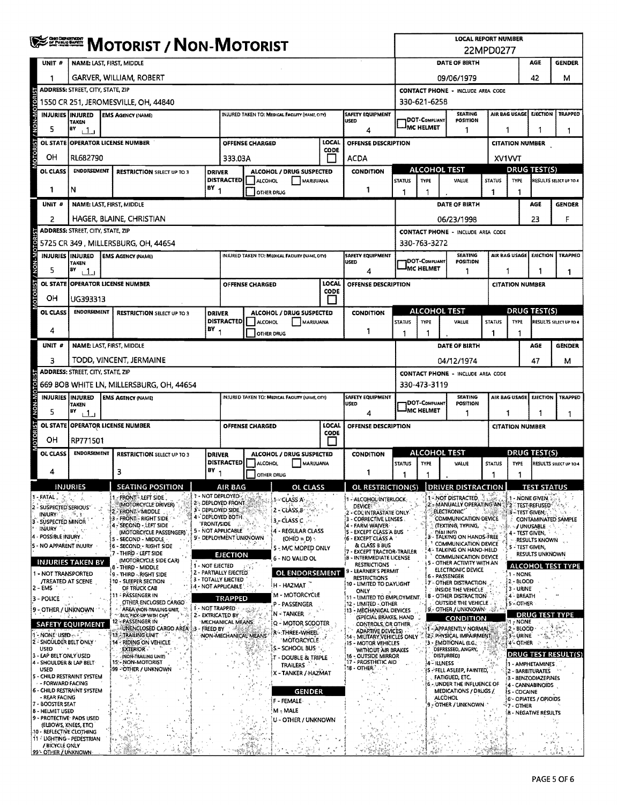|                                                         | <b>WE SHERE MOTORIST / NON-MOTORIST</b>                                                                                            |  |                                                                          |                    |                                                                |                                                 |                                                 |               |                                                                                 |                                          | <b>LOCAL REPORT NUMBER</b><br>22MPD0277 |                                                                  |                     |                                      |                                                            |                            |  |
|---------------------------------------------------------|------------------------------------------------------------------------------------------------------------------------------------|--|--------------------------------------------------------------------------|--------------------|----------------------------------------------------------------|-------------------------------------------------|-------------------------------------------------|---------------|---------------------------------------------------------------------------------|------------------------------------------|-----------------------------------------|------------------------------------------------------------------|---------------------|--------------------------------------|------------------------------------------------------------|----------------------------|--|
| UNIT #                                                  |                                                                                                                                    |  | <b>NAME: LAST, FIRST, MIDDLE</b>                                         |                    |                                                                |                                                 |                                                 |               |                                                                                 |                                          |                                         | DATE OF BIRTH                                                    |                     |                                      | AGE                                                        | <b>GENDER</b>              |  |
|                                                         |                                                                                                                                    |  | GARVER, WILLIAM, ROBERT                                                  |                    |                                                                |                                                 |                                                 |               |                                                                                 |                                          |                                         | 09/06/1979                                                       |                     |                                      | 42                                                         | м                          |  |
|                                                         | <b>ADDRESS: STREET, CITY, STATE, ZIP</b>                                                                                           |  |                                                                          |                    |                                                                |                                                 |                                                 |               |                                                                                 | <b>CONTACT PHONE - INCLUDE AREA CODE</b> |                                         |                                                                  |                     |                                      |                                                            |                            |  |
| / NON-MOTORIST                                          | 1550 CR 251, JEROMESVILLE, OH, 44840                                                                                               |  |                                                                          |                    |                                                                |                                                 |                                                 |               |                                                                                 | 330-621-6258                             |                                         |                                                                  |                     |                                      |                                                            |                            |  |
|                                                         | <b>INJURIES INJURED</b><br><b>TAKEN</b>                                                                                            |  | <b>EMS AGENCY (NAME)</b>                                                 |                    |                                                                |                                                 | INJURED TAKEN TO: MEDICAL FACILITY (NAME, CITY) |               | <b>SAFETY EQUIPMENT</b><br>USED                                                 |                                          | DOT-COMPLIANT                           | <b>SEATING</b><br>POSITION                                       |                     | AIR BAG USAGE                        | <b>EJECTION</b>                                            | <b>TRAPPED</b>             |  |
| 5                                                       | $BY$ $1$                                                                                                                           |  |                                                                          |                    |                                                                |                                                 |                                                 |               | 4                                                                               |                                          | MC HELMET                               | 1                                                                |                     | 1                                    |                                                            | 1                          |  |
| <b>OTORIST</b><br>OL STATE                              |                                                                                                                                    |  | <b>OPERATOR LICENSE NUMBER</b>                                           |                    |                                                                | OFFENSE CHARGED                                 |                                                 | LOCAL<br>CODE | OFFENSE DESCRIPTION                                                             |                                          |                                         |                                                                  |                     | <b>CITATION NUMBER</b>               |                                                            |                            |  |
| OH                                                      | RL682790                                                                                                                           |  |                                                                          |                    | 333.03A                                                        |                                                 |                                                 |               | <b>ACDA</b>                                                                     |                                          |                                         | ALCOHOL TEST                                                     |                     | <b>XV1VVT</b><br><b>DRUG TEST(S)</b> |                                                            |                            |  |
| OL CLASS                                                | <b>ENDORSEMENT</b>                                                                                                                 |  | <b>RESTRICTION SELECT UP TO 3</b>                                        | <b>DRIVER</b>      | <b>DISTRACTED</b>                                              | ALCOHOL                                         | ALCOHOL / DRUG SUSPECTED<br>MARUUANA            |               | <b>CONDITION</b>                                                                | <b>STATUS</b>                            | <b>TYPE</b>                             | VALUE                                                            | <b>STATUS</b>       | <b>TYPE</b>                          |                                                            | RESULTS SELECT UP TO 4     |  |
| 1                                                       | N                                                                                                                                  |  |                                                                          | $BY_{1}$           |                                                                | OTHER DRUG                                      |                                                 |               | 1                                                                               | 1                                        | -1                                      |                                                                  | -1                  | 1                                    |                                                            |                            |  |
| UNIT #                                                  |                                                                                                                                    |  | NAME: LAST, FIRST, MIDDLE                                                |                    |                                                                |                                                 |                                                 |               |                                                                                 |                                          |                                         | DATE OF BIRTH                                                    |                     |                                      | AGE                                                        | <b>GENDER</b>              |  |
| 2                                                       |                                                                                                                                    |  | HAGER, BLAINE, CHRISTIAN                                                 |                    |                                                                |                                                 |                                                 |               |                                                                                 |                                          |                                         | 06/23/1998                                                       |                     |                                      | 23                                                         | F                          |  |
|                                                         | ADDRESS: STREET, CITY, STATE, ZIP                                                                                                  |  | 5725 CR 349, MILLERSBURG, OH, 44654                                      |                    |                                                                |                                                 |                                                 |               |                                                                                 |                                          | 330-763-3272                            | <b>CONTACT PHONE - INCLUDE AREA CODE</b>                         |                     |                                      |                                                            |                            |  |
|                                                         | <b>INJURIES INJURED</b>                                                                                                            |  | <b>EMS AGENCY (NAME)</b>                                                 |                    |                                                                |                                                 | INJURED TAKEN TO: MEDICAL FACILITY (NAME, CITY) |               | <b>SAFETY EQUIPMENT</b>                                                         |                                          |                                         | <b>SEATING</b>                                                   |                     | AIR BAG USAGE                        | <b>EJECTION</b>                                            | <b>TRAPPEO</b>             |  |
| 5                                                       | <b>TAKEN</b><br>BY<br>بيك                                                                                                          |  |                                                                          |                    |                                                                |                                                 |                                                 |               | <b>USED</b><br>4                                                                |                                          | <b>DOT-COMPLIANT</b><br>IMC HELMET      | <b>POSITION</b><br>1                                             |                     | 1<br>1.                              |                                                            | 1.                         |  |
| <b>OL STATE</b>                                         |                                                                                                                                    |  | <b>OPERATOR LICENSE NUMBER</b>                                           |                    |                                                                | OFFENSE CHARGED                                 |                                                 | LOCAL         | OFFENSE DESCRIPTION                                                             |                                          |                                         |                                                                  |                     | <b>CITATION NUMBER</b>               |                                                            |                            |  |
| OTORIST / NON-MOTOR<br>OН                               | UG393313                                                                                                                           |  |                                                                          |                    |                                                                |                                                 |                                                 | CODE<br>l 1   |                                                                                 |                                          |                                         |                                                                  |                     |                                      |                                                            |                            |  |
| OL CLASS                                                | <b>ENOORSEMENT</b>                                                                                                                 |  | <b>RESTRICTION SELECT UP TO 3</b>                                        | <b>DRIVER</b>      |                                                                |                                                 | ALCOHOL / DRUG SUSPECTED                        |               | <b>CONDITION</b>                                                                |                                          |                                         | <b>ALCOHOL TEST</b>                                              |                     |                                      | <b>DRUG TEST(S)</b>                                        |                            |  |
| 4                                                       |                                                                                                                                    |  |                                                                          | $BY_1$             | <b>DISTRACTED</b>                                              | <b>ALCOHOL</b>                                  | MARIJUANA<br>OTHER DRUG                         |               | 1                                                                               | <b>STATUS</b>                            | <b>TYPE</b>                             | VALUE                                                            | <b>STATUS</b><br>-1 | <b>TYPE</b>                          |                                                            | RESULTS SELECT UP TO 4     |  |
| UNIT#                                                   |                                                                                                                                    |  | NAME: LAST, FIRST, MIDDLE                                                |                    |                                                                |                                                 |                                                 |               |                                                                                 |                                          |                                         | DATE OF BIRTH                                                    |                     |                                      | AGE                                                        | <b>GENDER</b>              |  |
| з                                                       |                                                                                                                                    |  | TODD, VINCENT, JERMAINE                                                  |                    |                                                                |                                                 |                                                 |               |                                                                                 | 04/12/1974<br>47<br>м                    |                                         |                                                                  |                     |                                      |                                                            |                            |  |
|                                                         | <b>ADDRESS: STREET, CITY, STATE, ZIP</b>                                                                                           |  |                                                                          |                    |                                                                |                                                 |                                                 |               |                                                                                 |                                          |                                         | <b>CONTACT PHONE - INCLUDE AREA CODE</b>                         |                     |                                      |                                                            |                            |  |
|                                                         |                                                                                                                                    |  | 669 BOB WHITE LN, MILLERSBURG, OH, 44654                                 |                    |                                                                |                                                 |                                                 |               |                                                                                 |                                          | 330-473-3119                            |                                                                  |                     |                                      |                                                            |                            |  |
|                                                         | INJURIES INJURED<br><b>TAKEN</b>                                                                                                   |  | <b>EMS AGENCY (NAME)</b>                                                 |                    |                                                                |                                                 | INJURED TAKEN TO: MEDICAL FACILITY (NAME, CITY) |               | SAFETY EQUIPMENT<br>USED                                                        |                                          | DOT-COMPLIANT                           | <b>SEATING</b><br>POSITION                                       |                     |                                      | AIR BAG USAGE EJECTION                                     | <b>TRAPPED</b>             |  |
| 5                                                       | BY<br>$+1.1$                                                                                                                       |  |                                                                          |                    |                                                                |                                                 |                                                 | LOCAL         | 4                                                                               | MC HELMET<br>1                           |                                         |                                                                  |                     | 1<br>1<br><b>CITATION NUMBER</b>     |                                                            |                            |  |
| OTORIST / NON-MOTORIST<br>ЮH                            | RP771501                                                                                                                           |  | OL STATE OPERATOR LICENSE NUMBER                                         |                    |                                                                | OFFENSE CHARGED                                 |                                                 | CODE          | OFFENSE DESCRIPTION                                                             |                                          |                                         |                                                                  |                     |                                      |                                                            |                            |  |
| OL CLASS                                                | <b>ENDORSEMENT</b>                                                                                                                 |  | <b>RESTRICTION SELECT UP TO 3</b>                                        | <b>DRIVER</b>      |                                                                |                                                 |                                                 |               | <b>CONDITION</b>                                                                |                                          |                                         | <b>ALCOHOL TEST</b>                                              |                     | DRUG TEST(S)                         |                                                            |                            |  |
| 4                                                       |                                                                                                                                    |  | 3                                                                        | $BY_1$             | <b>DISTRACTED</b>                                              | ALCOHOL / DRUG SUSPECTED<br>ALCOHOL<br>MARUUANA |                                                 |               |                                                                                 | <b>STATUS</b>                            | <b>TYPE</b>                             | VALUE                                                            | <b>STATUS</b>       | TYPE                                 |                                                            | RESULTS SELECT UP TO 4     |  |
|                                                         |                                                                                                                                    |  | <b>SEATING POSITION</b>                                                  |                    |                                                                |                                                 | OTHER DRUG                                      |               | 1                                                                               | 1                                        | -1                                      |                                                                  | 1                   | 1                                    |                                                            |                            |  |
| . FATAL.                                                | NJURIES                                                                                                                            |  | FRONT LEFT SIDE                                                          |                    | AIR BAG<br>1 - NOT DEPLOYED                                    |                                                 | OL<br>CLASS<br>1 - CLASS A                      |               | <u>OL RESTRICTION(S)</u><br>1 - ALCOHOL INTERLOCK                               |                                          |                                         | <b>DRIVER DISTRACTION</b><br>$-$ NOT DISTRACTED.                 |                     |                                      | 1 - NONE GIVEN,                                            |                            |  |
| 2 - SUSPECTED SERIOUS'<br>INJURY 1                      |                                                                                                                                    |  | (MOTORCYCLE DRIVER)<br>2 - FRONT - MIDDLE                                |                    | 2 - DEPLOYED FRONT<br>3 DEPLOYED SIDE<br>4 - DEPLOYED BOTH.    |                                                 | 2 - CLASS B                                     |               | <b>DEVICE</b><br>2 - CDL INTRASTATE ONLY                                        |                                          |                                         | MANUALLY OPERATING AN<br>ELECTRONIC"                             |                     |                                      | <b>2 - TEST-REFUSED</b><br>3 - TEST GIVEN,                 |                            |  |
| - SUSPECTED MINOR<br>з.<br>INJURY                       |                                                                                                                                    |  | 3 - FRONT - RIGHT SIDE<br>4 - SECOND - LEFT SIDE                         | <b>'FRONT/SIDE</b> | 5 - NOT APPLICABLE                                             |                                                 | $3 - CLASSC$<br>4 - REGULAR CLASS               |               | 3 - CORRECTIVE LENSES<br>4 - FARM WAIVER                                        |                                          |                                         | COMMUNICATION DEVICE<br>(TEXTING, TYPING,                        |                     |                                      | <b>My UNUSABLE</b>                                         | CONTAMINATED SAMPLE        |  |
| - POSSIBLE INJURY .<br>5 - NO APPARENT INJURY           |                                                                                                                                    |  | (MOTORCYCLE PASSENGER)<br>S - SECOND - MIDDLE<br>6 - SECOND - RIGHT SIDE |                    | 9 - DEPLOYMENT UNKNOWN                                         |                                                 | $(OHIO = D)$                                    |               | 5 - EXCEPT CLASS A BUS<br>{6 - EXCEPT CLASS A<br>& CLASS B BUS                  |                                          |                                         | DIALING)<br>3 TALKING ON HANDS-FREE<br>COMMUNICATION DEVICE      |                     |                                      | 4 - TEST GIVEN,<br><b>RESULTS KNOWN</b><br>5 - TEST GIVEN, |                            |  |
|                                                         |                                                                                                                                    |  | 7 - THIRD - LEFT SIDE<br>(MOTORCYCLE SIDE CAR)                           |                    | <b>EJECTION</b>                                                |                                                 | 5 - M/C MOPED ONLY<br>6 - NO VALID OL           |               | <b>EXCEPT TRACTOR-TRAILER</b><br>- INTERMEDIATE LICENSE                         |                                          |                                         | 4 TALKING ON HAND-HELD<br><b>COMMUNICATION DEVICE</b>            |                     |                                      | <b>RESULTS UNKNOWN</b>                                     |                            |  |
| 1 - NOT TRANSPORTED                                     | <b>INJURIES TAKEN BY</b>                                                                                                           |  | 8 - THIRD - MIDDLE<br>9 - THIRD - RIGHT SIDE                             | 1 - NOT EJECTED    | 2 - PARTIALLY EJECTED                                          |                                                 | OL ENDORSEMENT                                  |               | <b>RESTRICTIONS</b><br>LEARNER'S PERMIT                                         |                                          |                                         | 5 - OTHER ACTIVITY WITH AN<br>ELECTRONIC DEVICE<br>6 - PASSENGER |                     | 1 - NONE                             |                                                            | <b>ALCOHOL TEST TYPE</b>   |  |
| $2 - EMS$                                               | <b>/TREATED AT SCENE</b>                                                                                                           |  | 10 - SLEEPER SECTION<br>OF TRUCK CAB                                     |                    | <b>3 - TOTALLY EJECTED</b><br>$1.4$ - NOT APPLICABLE $\langle$ |                                                 | H - HAZMAT                                      |               | <b>RESTRICTIONS</b><br>10 - LIMITED TO DAYUGHT<br>ONLY                          |                                          |                                         | 7 - OTHER DISTRACTION<br>INSIDE THE VEHICLE                      |                     | 2 - BLOOD<br>3 - URINE               |                                                            |                            |  |
| 3 - POLICE                                              |                                                                                                                                    |  | <b><i>FASSENGER IN</i></b><br>OTHER ENCLOSED CARGO                       |                    | <b>TRAPPED</b>                                                 |                                                 | <b>M - MOTORCYCLE</b><br>P - PASSENGER          |               | 11 - LIMITED TO EMPLOYMENT.<br>12 - LIMITED - OTHER                             |                                          |                                         | <b>8 - OTHER DISTRACTION</b><br>OUTSIDE THE VEHICLE              |                     | 4 - BREATH<br>5-OTHER                |                                                            |                            |  |
|                                                         | 1 - NOT TRAPPED-<br>AREA (NON-TRAILING UNIT,<br>9 - OTHER / UNKNOWN<br>BUS, PICK-UP WITH CAP)<br>2 - EXTRICATED BY                 |  |                                                                          |                    |                                                                |                                                 | <b>IN - TANKER - 2</b>                          |               | 13 - MECHANICAL DEVICES<br>(SPECIAL BRAKES, HAND                                |                                          |                                         | 9 - OTHER / UNKNOWN - A<br><b>CONDITION</b>                      |                     |                                      | <b>DRUG TEST</b>                                           |                            |  |
|                                                         | 12 - PASSENGER IN<br>MECHANICAL MEANS<br><b>SAFETY EQUIPMENT</b><br>UNENCLOSED CARGO AREA 13 - FREED BY                            |  |                                                                          |                    |                                                                |                                                 | Q - MOTOR SCOOTER<br>R - THREE-WHEEL            |               | CONTROLS, OR OTHER<br><b>ADAPTIVE DEVICES)</b>                                  |                                          |                                         | 1 - APPARENTLY NORMAL<br><b>12: PHYSICAL IMPAIRMENT</b>          |                     | া - NONE<br>2 - BLOOD<br>3 - URINE   |                                                            |                            |  |
| <b>USED</b>                                             | . None USED .<br>13 - TRAILING UNIT<br>NON-MECHANICAL MEANS<br>2 - SHOULDER BELT ONLY<br>14 - RIDING ON VEHICLE<br><b>EXTERIOR</b> |  |                                                                          |                    |                                                                |                                                 | <b>MOTORCYCLE</b><br>S.- SCHOOL BUS-            |               | 14 - MILITARY VEHICLES ONLY<br><b>15 - MOTOR VEHICLES</b><br>WITHOUT AIR BRAKES |                                          |                                         | 3 - EMOTIONAL (E.G.:<br>DEPRESSED, ANGRY,                        |                     | 4 - OTHER                            |                                                            |                            |  |
|                                                         | 3 - LAP BELT ONLY USED<br>(NON-TRAILING UNIT)<br>- NON-MOTORIST<br>15,<br>4 - SHOULDER & LAP BELT                                  |  |                                                                          |                    |                                                                |                                                 | T - DOUBLE & TRIPLE<br>TRAILERS                 |               | 16 - OUTSIDE MIRROR<br>17 - PROSTHETIC AID                                      |                                          | DISTURBED)<br>4 - ILLNESS               |                                                                  |                     |                                      | 1 - AMPHETAMINES                                           | <b>DRUG TEST RESULT(S)</b> |  |
| USED<br><b>5 - CHILD RESTRAINT SYSTEM</b>               |                                                                                                                                    |  | 99 - OTHER / UNKNOWN                                                     |                    |                                                                |                                                 | X - TANKER / HAZMAT                             |               | $18 - OPTHER$                                                                   |                                          |                                         | (5 - FELL ASLEEP, FAINTED)<br>FATIGUED, ETC.                     |                     |                                      | 2 - BARBITURATES<br>3 - BENZODIAZEPINES                    |                            |  |
| - - FORWARD FACING<br><b>6 - CHILD RESTRAINT SYSTEM</b> |                                                                                                                                    |  |                                                                          |                    |                                                                |                                                 | <b>GENDER</b>                                   |               |                                                                                 |                                          |                                         | <b>6 - UNDER THE INFLUENCE OF</b><br>MEDICATIONS / DRUGS /       |                     | S - COCAINE                          | 4 - CANNABINOIDS                                           |                            |  |
| - REAR FACING<br>7 - BOOSTER SEAT<br>8 - HELMET USED    |                                                                                                                                    |  |                                                                          |                    |                                                                |                                                 | F - FEMALE<br>M - MALE                          |               |                                                                                 |                                          |                                         | <b>ALCOHOL</b><br>- OTHER / UNKNOWN                              |                     | 7 - OTHER                            | 6 - OPIATES / OPIOIDS                                      |                            |  |
| 9 - PROTECTIVE PADS USED                                | (ELBOWS, KNEES, ETC)                                                                                                               |  |                                                                          |                    |                                                                |                                                 | U - OTHER / UNKNOWN                             |               |                                                                                 |                                          |                                         |                                                                  |                     |                                      | (B - NEGATIVE RESULTS                                      |                            |  |
| 10 - REFLECTIVE CLOTHING<br>11 - UGHTING - PEDESTRIAN   |                                                                                                                                    |  |                                                                          |                    |                                                                |                                                 |                                                 |               |                                                                                 |                                          |                                         |                                                                  |                     |                                      |                                                            |                            |  |
| / BICYCLE ONLY<br>99 * OTHER / UNKNOWN                  |                                                                                                                                    |  |                                                                          |                    |                                                                |                                                 |                                                 |               |                                                                                 |                                          |                                         |                                                                  |                     |                                      |                                                            |                            |  |